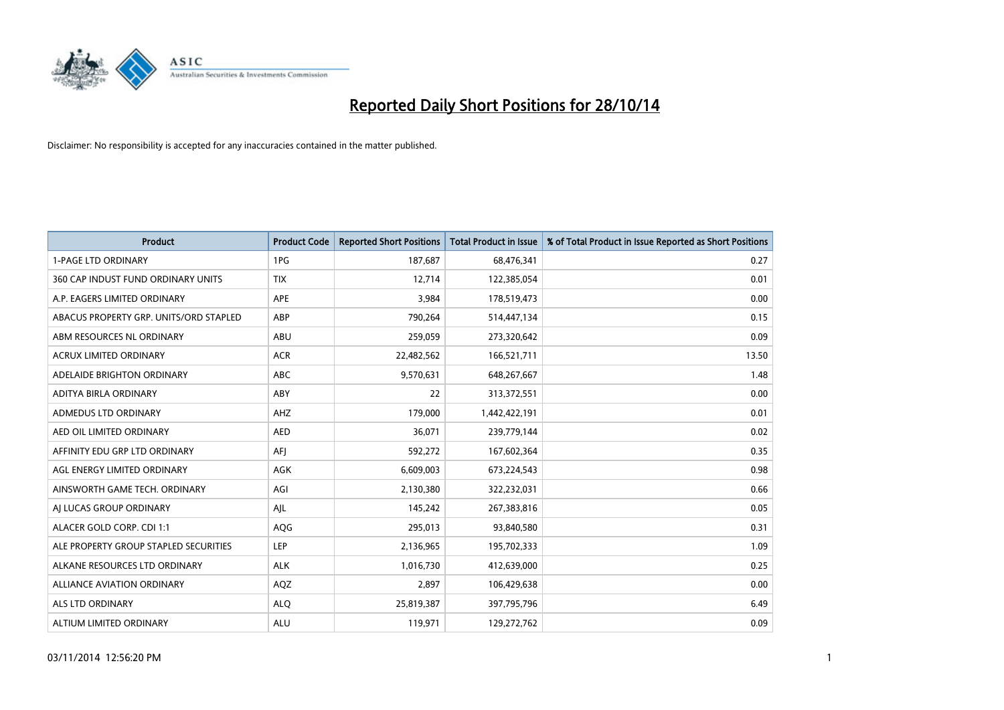

| Product                                | <b>Product Code</b> | <b>Reported Short Positions</b> | <b>Total Product in Issue</b> | % of Total Product in Issue Reported as Short Positions |
|----------------------------------------|---------------------|---------------------------------|-------------------------------|---------------------------------------------------------|
| <b>1-PAGE LTD ORDINARY</b>             | 1PG                 | 187,687                         | 68,476,341                    | 0.27                                                    |
| 360 CAP INDUST FUND ORDINARY UNITS     | <b>TIX</b>          | 12,714                          | 122,385,054                   | 0.01                                                    |
| A.P. EAGERS LIMITED ORDINARY           | APE                 | 3,984                           | 178,519,473                   | 0.00                                                    |
| ABACUS PROPERTY GRP. UNITS/ORD STAPLED | ABP                 | 790,264                         | 514,447,134                   | 0.15                                                    |
| ABM RESOURCES NL ORDINARY              | ABU                 | 259,059                         | 273,320,642                   | 0.09                                                    |
| <b>ACRUX LIMITED ORDINARY</b>          | <b>ACR</b>          | 22,482,562                      | 166,521,711                   | 13.50                                                   |
| ADELAIDE BRIGHTON ORDINARY             | <b>ABC</b>          | 9,570,631                       | 648,267,667                   | 1.48                                                    |
| ADITYA BIRLA ORDINARY                  | ABY                 | 22                              | 313,372,551                   | 0.00                                                    |
| ADMEDUS LTD ORDINARY                   | AHZ                 | 179,000                         | 1,442,422,191                 | 0.01                                                    |
| AED OIL LIMITED ORDINARY               | <b>AED</b>          | 36,071                          | 239,779,144                   | 0.02                                                    |
| AFFINITY EDU GRP LTD ORDINARY          | AFI                 | 592,272                         | 167,602,364                   | 0.35                                                    |
| AGL ENERGY LIMITED ORDINARY            | AGK                 | 6,609,003                       | 673,224,543                   | 0.98                                                    |
| AINSWORTH GAME TECH. ORDINARY          | AGI                 | 2,130,380                       | 322,232,031                   | 0.66                                                    |
| AI LUCAS GROUP ORDINARY                | AJL                 | 145,242                         | 267,383,816                   | 0.05                                                    |
| ALACER GOLD CORP. CDI 1:1              | AQG                 | 295,013                         | 93,840,580                    | 0.31                                                    |
| ALE PROPERTY GROUP STAPLED SECURITIES  | LEP                 | 2,136,965                       | 195,702,333                   | 1.09                                                    |
| ALKANE RESOURCES LTD ORDINARY          | <b>ALK</b>          | 1,016,730                       | 412,639,000                   | 0.25                                                    |
| ALLIANCE AVIATION ORDINARY             | AQZ                 | 2,897                           | 106,429,638                   | 0.00                                                    |
| ALS LTD ORDINARY                       | <b>ALO</b>          | 25,819,387                      | 397,795,796                   | 6.49                                                    |
| ALTIUM LIMITED ORDINARY                | <b>ALU</b>          | 119,971                         | 129,272,762                   | 0.09                                                    |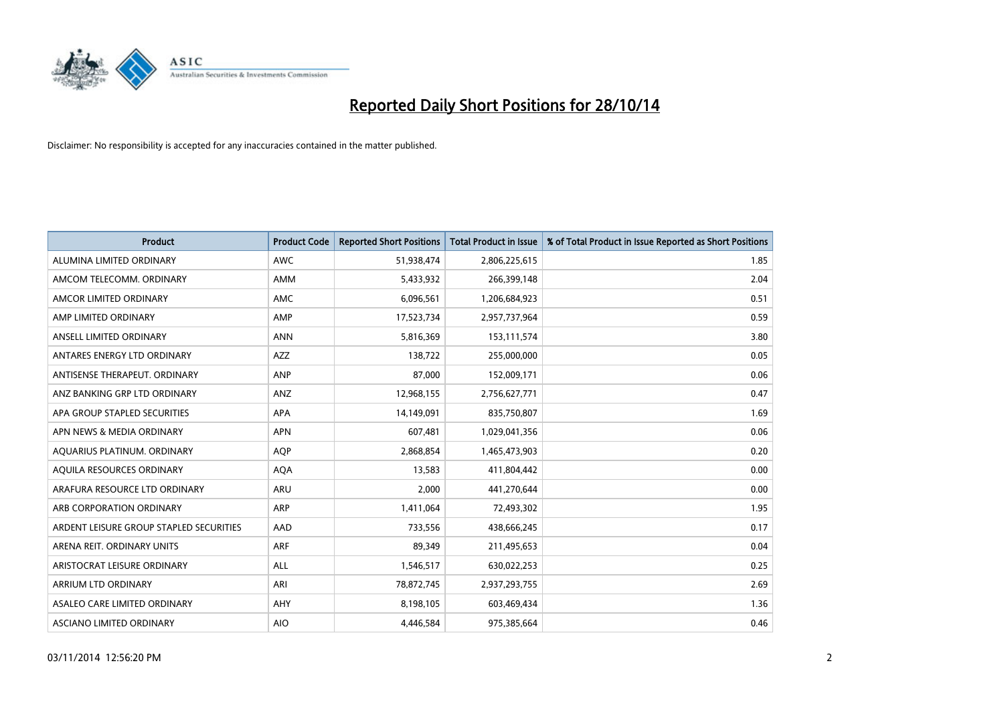

| Product                                 | <b>Product Code</b> | <b>Reported Short Positions</b> | <b>Total Product in Issue</b> | % of Total Product in Issue Reported as Short Positions |
|-----------------------------------------|---------------------|---------------------------------|-------------------------------|---------------------------------------------------------|
| ALUMINA LIMITED ORDINARY                | <b>AWC</b>          | 51,938,474                      | 2,806,225,615                 | 1.85                                                    |
| AMCOM TELECOMM. ORDINARY                | AMM                 | 5,433,932                       | 266,399,148                   | 2.04                                                    |
| AMCOR LIMITED ORDINARY                  | <b>AMC</b>          | 6,096,561                       | 1,206,684,923                 | 0.51                                                    |
| AMP LIMITED ORDINARY                    | AMP                 | 17,523,734                      | 2,957,737,964                 | 0.59                                                    |
| ANSELL LIMITED ORDINARY                 | <b>ANN</b>          | 5,816,369                       | 153,111,574                   | 3.80                                                    |
| ANTARES ENERGY LTD ORDINARY             | <b>AZZ</b>          | 138,722                         | 255,000,000                   | 0.05                                                    |
| ANTISENSE THERAPEUT, ORDINARY           | ANP                 | 87.000                          | 152,009,171                   | 0.06                                                    |
| ANZ BANKING GRP LTD ORDINARY            | ANZ                 | 12,968,155                      | 2,756,627,771                 | 0.47                                                    |
| APA GROUP STAPLED SECURITIES            | APA                 | 14,149,091                      | 835,750,807                   | 1.69                                                    |
| APN NEWS & MEDIA ORDINARY               | <b>APN</b>          | 607,481                         | 1,029,041,356                 | 0.06                                                    |
| AQUARIUS PLATINUM. ORDINARY             | AQP                 | 2,868,854                       | 1,465,473,903                 | 0.20                                                    |
| AQUILA RESOURCES ORDINARY               | <b>AQA</b>          | 13,583                          | 411,804,442                   | 0.00                                                    |
| ARAFURA RESOURCE LTD ORDINARY           | <b>ARU</b>          | 2,000                           | 441,270,644                   | 0.00                                                    |
| ARB CORPORATION ORDINARY                | <b>ARP</b>          | 1,411,064                       | 72,493,302                    | 1.95                                                    |
| ARDENT LEISURE GROUP STAPLED SECURITIES | AAD                 | 733,556                         | 438,666,245                   | 0.17                                                    |
| ARENA REIT. ORDINARY UNITS              | <b>ARF</b>          | 89,349                          | 211,495,653                   | 0.04                                                    |
| ARISTOCRAT LEISURE ORDINARY             | <b>ALL</b>          | 1,546,517                       | 630,022,253                   | 0.25                                                    |
| ARRIUM LTD ORDINARY                     | ARI                 | 78,872,745                      | 2,937,293,755                 | 2.69                                                    |
| ASALEO CARE LIMITED ORDINARY            | AHY                 | 8,198,105                       | 603,469,434                   | 1.36                                                    |
| ASCIANO LIMITED ORDINARY                | <b>AIO</b>          | 4,446,584                       | 975,385,664                   | 0.46                                                    |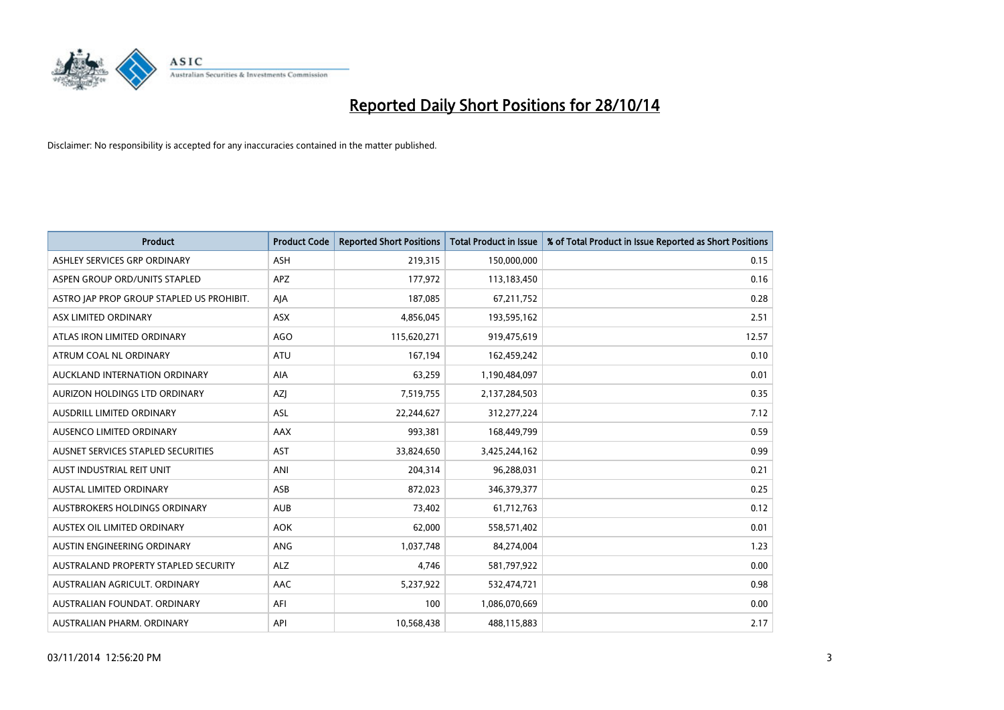

| <b>Product</b>                            | <b>Product Code</b> | <b>Reported Short Positions</b> | <b>Total Product in Issue</b> | % of Total Product in Issue Reported as Short Positions |
|-------------------------------------------|---------------------|---------------------------------|-------------------------------|---------------------------------------------------------|
| ASHLEY SERVICES GRP ORDINARY              | <b>ASH</b>          | 219,315                         | 150,000,000                   | 0.15                                                    |
| ASPEN GROUP ORD/UNITS STAPLED             | <b>APZ</b>          | 177,972                         | 113,183,450                   | 0.16                                                    |
| ASTRO JAP PROP GROUP STAPLED US PROHIBIT. | AJA                 | 187,085                         | 67,211,752                    | 0.28                                                    |
| ASX LIMITED ORDINARY                      | ASX                 | 4,856,045                       | 193,595,162                   | 2.51                                                    |
| ATLAS IRON LIMITED ORDINARY               | <b>AGO</b>          | 115,620,271                     | 919,475,619                   | 12.57                                                   |
| ATRUM COAL NL ORDINARY                    | <b>ATU</b>          | 167,194                         | 162,459,242                   | 0.10                                                    |
| AUCKLAND INTERNATION ORDINARY             | AIA                 | 63,259                          | 1,190,484,097                 | 0.01                                                    |
| AURIZON HOLDINGS LTD ORDINARY             | AZJ                 | 7,519,755                       | 2,137,284,503                 | 0.35                                                    |
| AUSDRILL LIMITED ORDINARY                 | <b>ASL</b>          | 22,244,627                      | 312,277,224                   | 7.12                                                    |
| AUSENCO LIMITED ORDINARY                  | AAX                 | 993,381                         | 168,449,799                   | 0.59                                                    |
| AUSNET SERVICES STAPLED SECURITIES        | <b>AST</b>          | 33,824,650                      | 3,425,244,162                 | 0.99                                                    |
| AUST INDUSTRIAL REIT UNIT                 | ANI                 | 204,314                         | 96,288,031                    | 0.21                                                    |
| AUSTAL LIMITED ORDINARY                   | ASB                 | 872,023                         | 346, 379, 377                 | 0.25                                                    |
| AUSTBROKERS HOLDINGS ORDINARY             | <b>AUB</b>          | 73,402                          | 61,712,763                    | 0.12                                                    |
| AUSTEX OIL LIMITED ORDINARY               | <b>AOK</b>          | 62,000                          | 558,571,402                   | 0.01                                                    |
| AUSTIN ENGINEERING ORDINARY               | ANG                 | 1,037,748                       | 84,274,004                    | 1.23                                                    |
| AUSTRALAND PROPERTY STAPLED SECURITY      | <b>ALZ</b>          | 4,746                           | 581,797,922                   | 0.00                                                    |
| AUSTRALIAN AGRICULT, ORDINARY             | AAC                 | 5,237,922                       | 532,474,721                   | 0.98                                                    |
| AUSTRALIAN FOUNDAT, ORDINARY              | AFI                 | 100                             | 1,086,070,669                 | 0.00                                                    |
| AUSTRALIAN PHARM. ORDINARY                | API                 | 10,568,438                      | 488,115,883                   | 2.17                                                    |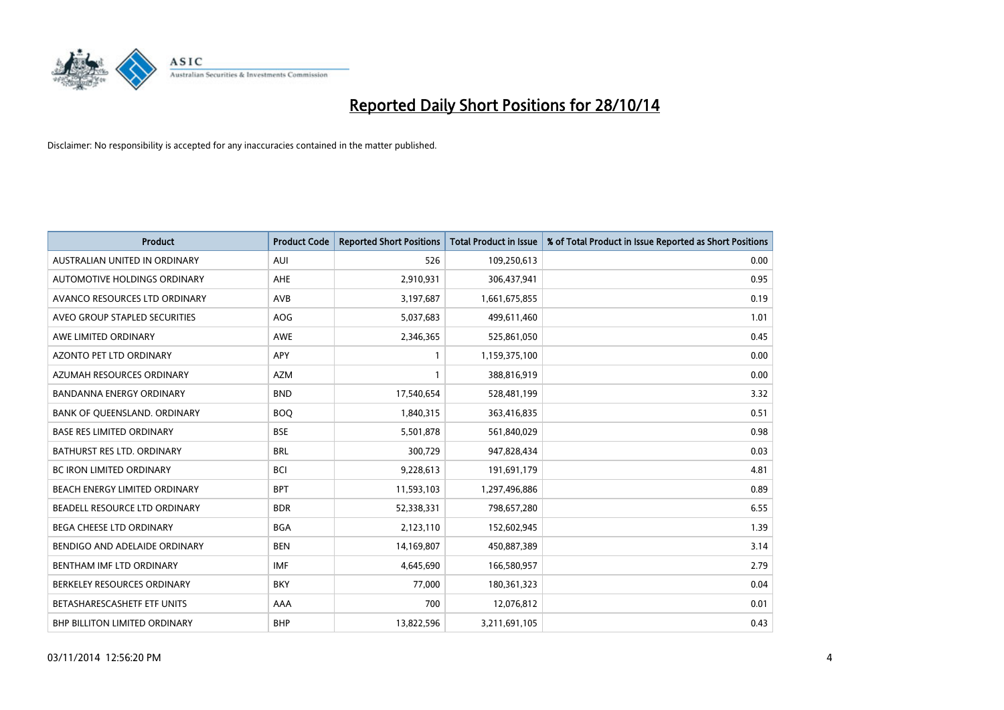

| <b>Product</b>                       | <b>Product Code</b> | <b>Reported Short Positions</b> | <b>Total Product in Issue</b> | % of Total Product in Issue Reported as Short Positions |
|--------------------------------------|---------------------|---------------------------------|-------------------------------|---------------------------------------------------------|
| AUSTRALIAN UNITED IN ORDINARY        | <b>AUI</b>          | 526                             | 109,250,613                   | 0.00                                                    |
| AUTOMOTIVE HOLDINGS ORDINARY         | AHE                 | 2,910,931                       | 306,437,941                   | 0.95                                                    |
| AVANCO RESOURCES LTD ORDINARY        | AVB                 | 3,197,687                       | 1,661,675,855                 | 0.19                                                    |
| AVEO GROUP STAPLED SECURITIES        | AOG                 | 5,037,683                       | 499,611,460                   | 1.01                                                    |
| AWE LIMITED ORDINARY                 | <b>AWE</b>          | 2,346,365                       | 525,861,050                   | 0.45                                                    |
| AZONTO PET LTD ORDINARY              | APY                 | 1                               | 1,159,375,100                 | 0.00                                                    |
| AZUMAH RESOURCES ORDINARY            | <b>AZM</b>          | $\mathbf{1}$                    | 388,816,919                   | 0.00                                                    |
| <b>BANDANNA ENERGY ORDINARY</b>      | <b>BND</b>          | 17,540,654                      | 528,481,199                   | 3.32                                                    |
| BANK OF QUEENSLAND. ORDINARY         | <b>BOQ</b>          | 1,840,315                       | 363,416,835                   | 0.51                                                    |
| <b>BASE RES LIMITED ORDINARY</b>     | <b>BSE</b>          | 5,501,878                       | 561,840,029                   | 0.98                                                    |
| BATHURST RES LTD. ORDINARY           | <b>BRL</b>          | 300,729                         | 947,828,434                   | 0.03                                                    |
| <b>BC IRON LIMITED ORDINARY</b>      | BCI                 | 9,228,613                       | 191,691,179                   | 4.81                                                    |
| BEACH ENERGY LIMITED ORDINARY        | <b>BPT</b>          | 11,593,103                      | 1,297,496,886                 | 0.89                                                    |
| BEADELL RESOURCE LTD ORDINARY        | <b>BDR</b>          | 52,338,331                      | 798,657,280                   | 6.55                                                    |
| BEGA CHEESE LTD ORDINARY             | <b>BGA</b>          | 2,123,110                       | 152,602,945                   | 1.39                                                    |
| BENDIGO AND ADELAIDE ORDINARY        | <b>BEN</b>          | 14,169,807                      | 450,887,389                   | 3.14                                                    |
| BENTHAM IMF LTD ORDINARY             | IMF                 | 4,645,690                       | 166,580,957                   | 2.79                                                    |
| BERKELEY RESOURCES ORDINARY          | <b>BKY</b>          | 77,000                          | 180,361,323                   | 0.04                                                    |
| BETASHARESCASHETF ETF UNITS          | AAA                 | 700                             | 12,076,812                    | 0.01                                                    |
| <b>BHP BILLITON LIMITED ORDINARY</b> | <b>BHP</b>          | 13,822,596                      | 3,211,691,105                 | 0.43                                                    |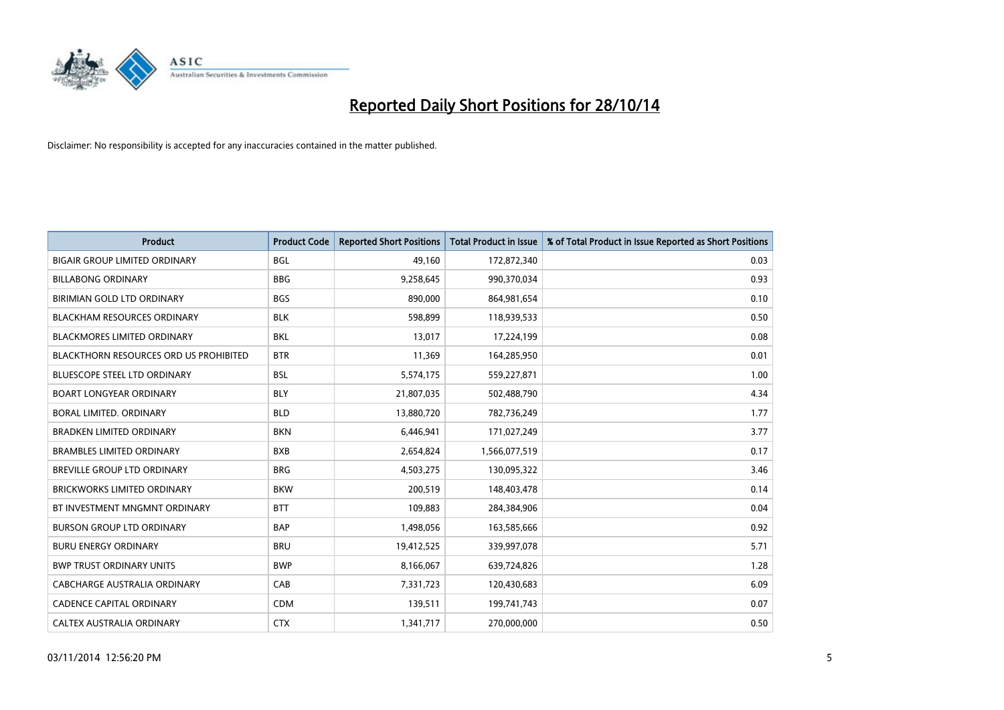

| <b>Product</b>                                | <b>Product Code</b> | <b>Reported Short Positions</b> | <b>Total Product in Issue</b> | % of Total Product in Issue Reported as Short Positions |
|-----------------------------------------------|---------------------|---------------------------------|-------------------------------|---------------------------------------------------------|
| <b>BIGAIR GROUP LIMITED ORDINARY</b>          | <b>BGL</b>          | 49,160                          | 172,872,340                   | 0.03                                                    |
| <b>BILLABONG ORDINARY</b>                     | <b>BBG</b>          | 9,258,645                       | 990,370,034                   | 0.93                                                    |
| BIRIMIAN GOLD LTD ORDINARY                    | <b>BGS</b>          | 890,000                         | 864,981,654                   | 0.10                                                    |
| <b>BLACKHAM RESOURCES ORDINARY</b>            | <b>BLK</b>          | 598,899                         | 118,939,533                   | 0.50                                                    |
| <b>BLACKMORES LIMITED ORDINARY</b>            | <b>BKL</b>          | 13,017                          | 17,224,199                    | 0.08                                                    |
| <b>BLACKTHORN RESOURCES ORD US PROHIBITED</b> | <b>BTR</b>          | 11,369                          | 164,285,950                   | 0.01                                                    |
| <b>BLUESCOPE STEEL LTD ORDINARY</b>           | <b>BSL</b>          | 5,574,175                       | 559,227,871                   | 1.00                                                    |
| <b>BOART LONGYEAR ORDINARY</b>                | <b>BLY</b>          | 21,807,035                      | 502,488,790                   | 4.34                                                    |
| <b>BORAL LIMITED, ORDINARY</b>                | <b>BLD</b>          | 13,880,720                      | 782,736,249                   | 1.77                                                    |
| <b>BRADKEN LIMITED ORDINARY</b>               | <b>BKN</b>          | 6,446,941                       | 171,027,249                   | 3.77                                                    |
| <b>BRAMBLES LIMITED ORDINARY</b>              | <b>BXB</b>          | 2,654,824                       | 1,566,077,519                 | 0.17                                                    |
| BREVILLE GROUP LTD ORDINARY                   | <b>BRG</b>          | 4,503,275                       | 130,095,322                   | 3.46                                                    |
| <b>BRICKWORKS LIMITED ORDINARY</b>            | <b>BKW</b>          | 200,519                         | 148,403,478                   | 0.14                                                    |
| BT INVESTMENT MNGMNT ORDINARY                 | <b>BTT</b>          | 109,883                         | 284,384,906                   | 0.04                                                    |
| <b>BURSON GROUP LTD ORDINARY</b>              | <b>BAP</b>          | 1,498,056                       | 163,585,666                   | 0.92                                                    |
| <b>BURU ENERGY ORDINARY</b>                   | <b>BRU</b>          | 19,412,525                      | 339,997,078                   | 5.71                                                    |
| <b>BWP TRUST ORDINARY UNITS</b>               | <b>BWP</b>          | 8,166,067                       | 639,724,826                   | 1.28                                                    |
| CABCHARGE AUSTRALIA ORDINARY                  | CAB                 | 7,331,723                       | 120,430,683                   | 6.09                                                    |
| CADENCE CAPITAL ORDINARY                      | <b>CDM</b>          | 139,511                         | 199,741,743                   | 0.07                                                    |
| CALTEX AUSTRALIA ORDINARY                     | <b>CTX</b>          | 1,341,717                       | 270,000,000                   | 0.50                                                    |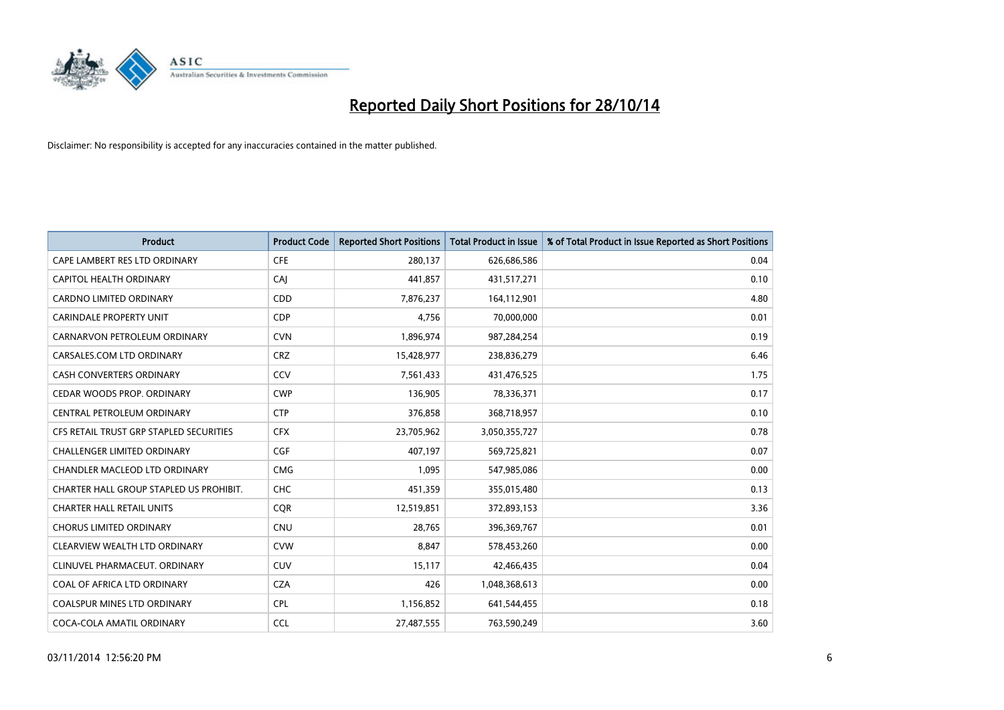

| <b>Product</b>                          | <b>Product Code</b> | <b>Reported Short Positions</b> | <b>Total Product in Issue</b> | % of Total Product in Issue Reported as Short Positions |
|-----------------------------------------|---------------------|---------------------------------|-------------------------------|---------------------------------------------------------|
| CAPE LAMBERT RES LTD ORDINARY           | <b>CFE</b>          | 280,137                         | 626,686,586                   | 0.04                                                    |
| CAPITOL HEALTH ORDINARY                 | CAI                 | 441,857                         | 431,517,271                   | 0.10                                                    |
| <b>CARDNO LIMITED ORDINARY</b>          | CDD                 | 7,876,237                       | 164,112,901                   | 4.80                                                    |
| <b>CARINDALE PROPERTY UNIT</b>          | <b>CDP</b>          | 4,756                           | 70,000,000                    | 0.01                                                    |
| CARNARVON PETROLEUM ORDINARY            | <b>CVN</b>          | 1,896,974                       | 987,284,254                   | 0.19                                                    |
| CARSALES.COM LTD ORDINARY               | <b>CRZ</b>          | 15,428,977                      | 238,836,279                   | 6.46                                                    |
| <b>CASH CONVERTERS ORDINARY</b>         | CCV                 | 7,561,433                       | 431,476,525                   | 1.75                                                    |
| CEDAR WOODS PROP. ORDINARY              | <b>CWP</b>          | 136,905                         | 78,336,371                    | 0.17                                                    |
| CENTRAL PETROLEUM ORDINARY              | <b>CTP</b>          | 376,858                         | 368,718,957                   | 0.10                                                    |
| CFS RETAIL TRUST GRP STAPLED SECURITIES | <b>CFX</b>          | 23,705,962                      | 3,050,355,727                 | 0.78                                                    |
| CHALLENGER LIMITED ORDINARY             | <b>CGF</b>          | 407,197                         | 569,725,821                   | 0.07                                                    |
| CHANDLER MACLEOD LTD ORDINARY           | <b>CMG</b>          | 1,095                           | 547,985,086                   | 0.00                                                    |
| CHARTER HALL GROUP STAPLED US PROHIBIT. | <b>CHC</b>          | 451,359                         | 355,015,480                   | 0.13                                                    |
| <b>CHARTER HALL RETAIL UNITS</b>        | <b>COR</b>          | 12,519,851                      | 372,893,153                   | 3.36                                                    |
| <b>CHORUS LIMITED ORDINARY</b>          | <b>CNU</b>          | 28,765                          | 396,369,767                   | 0.01                                                    |
| CLEARVIEW WEALTH LTD ORDINARY           | <b>CVW</b>          | 8,847                           | 578,453,260                   | 0.00                                                    |
| CLINUVEL PHARMACEUT. ORDINARY           | <b>CUV</b>          | 15,117                          | 42,466,435                    | 0.04                                                    |
| COAL OF AFRICA LTD ORDINARY             | <b>CZA</b>          | 426                             | 1,048,368,613                 | 0.00                                                    |
| <b>COALSPUR MINES LTD ORDINARY</b>      | <b>CPL</b>          | 1,156,852                       | 641,544,455                   | 0.18                                                    |
| COCA-COLA AMATIL ORDINARY               | <b>CCL</b>          | 27,487,555                      | 763,590,249                   | 3.60                                                    |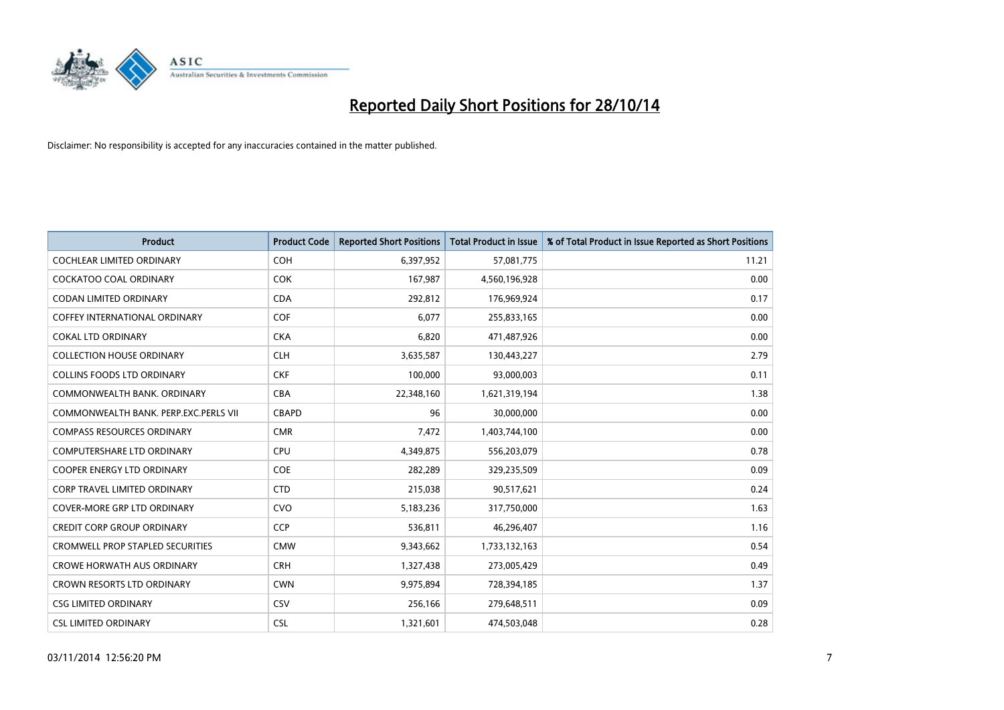

| <b>Product</b>                        | <b>Product Code</b> | <b>Reported Short Positions</b> | <b>Total Product in Issue</b> | % of Total Product in Issue Reported as Short Positions |
|---------------------------------------|---------------------|---------------------------------|-------------------------------|---------------------------------------------------------|
| <b>COCHLEAR LIMITED ORDINARY</b>      | <b>COH</b>          | 6,397,952                       | 57,081,775                    | 11.21                                                   |
| <b>COCKATOO COAL ORDINARY</b>         | <b>COK</b>          | 167,987                         | 4,560,196,928                 | 0.00                                                    |
| <b>CODAN LIMITED ORDINARY</b>         | <b>CDA</b>          | 292,812                         | 176,969,924                   | 0.17                                                    |
| <b>COFFEY INTERNATIONAL ORDINARY</b>  | <b>COF</b>          | 6,077                           | 255,833,165                   | 0.00                                                    |
| <b>COKAL LTD ORDINARY</b>             | <b>CKA</b>          | 6,820                           | 471,487,926                   | 0.00                                                    |
| <b>COLLECTION HOUSE ORDINARY</b>      | <b>CLH</b>          | 3,635,587                       | 130,443,227                   | 2.79                                                    |
| COLLINS FOODS LTD ORDINARY            | <b>CKF</b>          | 100,000                         | 93,000,003                    | 0.11                                                    |
| COMMONWEALTH BANK, ORDINARY           | <b>CBA</b>          | 22,348,160                      | 1,621,319,194                 | 1.38                                                    |
| COMMONWEALTH BANK, PERP.EXC.PERLS VII | <b>CBAPD</b>        | 96                              | 30,000,000                    | 0.00                                                    |
| <b>COMPASS RESOURCES ORDINARY</b>     | <b>CMR</b>          | 7,472                           | 1,403,744,100                 | 0.00                                                    |
| COMPUTERSHARE LTD ORDINARY            | <b>CPU</b>          | 4,349,875                       | 556,203,079                   | 0.78                                                    |
| <b>COOPER ENERGY LTD ORDINARY</b>     | <b>COE</b>          | 282,289                         | 329,235,509                   | 0.09                                                    |
| CORP TRAVEL LIMITED ORDINARY          | <b>CTD</b>          | 215,038                         | 90,517,621                    | 0.24                                                    |
| <b>COVER-MORE GRP LTD ORDINARY</b>    | <b>CVO</b>          | 5,183,236                       | 317,750,000                   | 1.63                                                    |
| <b>CREDIT CORP GROUP ORDINARY</b>     | CCP                 | 536,811                         | 46,296,407                    | 1.16                                                    |
| CROMWELL PROP STAPLED SECURITIES      | <b>CMW</b>          | 9,343,662                       | 1,733,132,163                 | 0.54                                                    |
| <b>CROWE HORWATH AUS ORDINARY</b>     | <b>CRH</b>          | 1,327,438                       | 273,005,429                   | 0.49                                                    |
| CROWN RESORTS LTD ORDINARY            | <b>CWN</b>          | 9,975,894                       | 728,394,185                   | 1.37                                                    |
| <b>CSG LIMITED ORDINARY</b>           | <b>CSV</b>          | 256,166                         | 279,648,511                   | 0.09                                                    |
| <b>CSL LIMITED ORDINARY</b>           | <b>CSL</b>          | 1,321,601                       | 474,503,048                   | 0.28                                                    |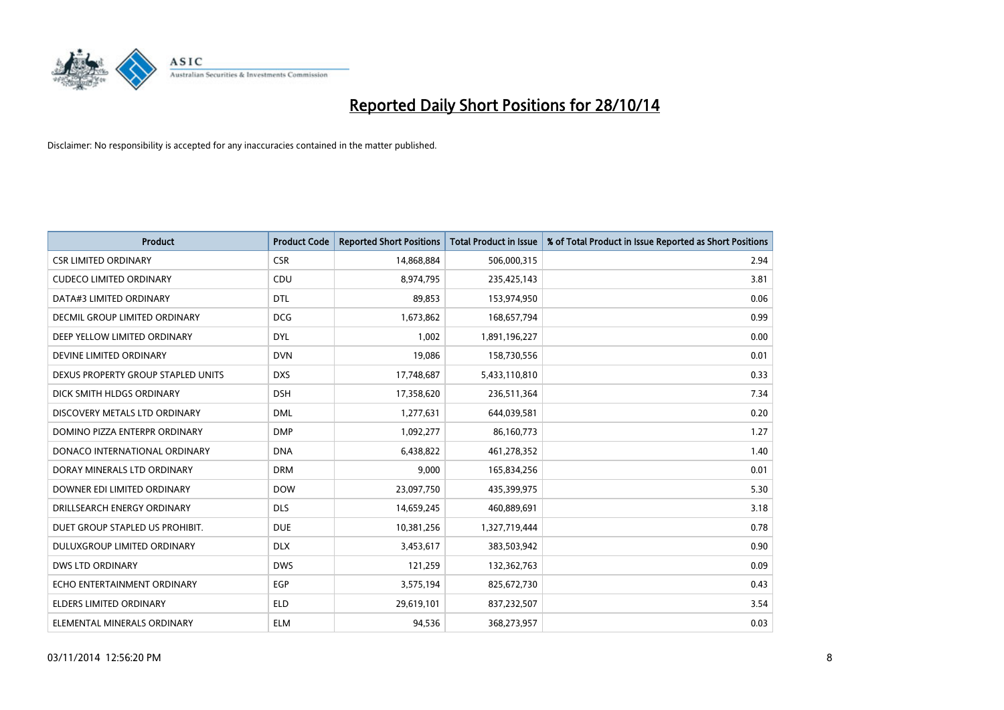

| <b>Product</b>                     | <b>Product Code</b> | <b>Reported Short Positions</b> | <b>Total Product in Issue</b> | % of Total Product in Issue Reported as Short Positions |
|------------------------------------|---------------------|---------------------------------|-------------------------------|---------------------------------------------------------|
| <b>CSR LIMITED ORDINARY</b>        | <b>CSR</b>          | 14,868,884                      | 506,000,315                   | 2.94                                                    |
| <b>CUDECO LIMITED ORDINARY</b>     | CDU                 | 8,974,795                       | 235,425,143                   | 3.81                                                    |
| DATA#3 LIMITED ORDINARY            | <b>DTL</b>          | 89,853                          | 153,974,950                   | 0.06                                                    |
| DECMIL GROUP LIMITED ORDINARY      | <b>DCG</b>          | 1,673,862                       | 168,657,794                   | 0.99                                                    |
| DEEP YELLOW LIMITED ORDINARY       | <b>DYL</b>          | 1,002                           | 1,891,196,227                 | 0.00                                                    |
| DEVINE LIMITED ORDINARY            | <b>DVN</b>          | 19,086                          | 158,730,556                   | 0.01                                                    |
| DEXUS PROPERTY GROUP STAPLED UNITS | <b>DXS</b>          | 17,748,687                      | 5,433,110,810                 | 0.33                                                    |
| DICK SMITH HLDGS ORDINARY          | <b>DSH</b>          | 17,358,620                      | 236,511,364                   | 7.34                                                    |
| DISCOVERY METALS LTD ORDINARY      | <b>DML</b>          | 1,277,631                       | 644,039,581                   | 0.20                                                    |
| DOMINO PIZZA ENTERPR ORDINARY      | <b>DMP</b>          | 1,092,277                       | 86,160,773                    | 1.27                                                    |
| DONACO INTERNATIONAL ORDINARY      | <b>DNA</b>          | 6,438,822                       | 461,278,352                   | 1.40                                                    |
| DORAY MINERALS LTD ORDINARY        | <b>DRM</b>          | 9,000                           | 165,834,256                   | 0.01                                                    |
| DOWNER EDI LIMITED ORDINARY        | <b>DOW</b>          | 23,097,750                      | 435,399,975                   | 5.30                                                    |
| DRILLSEARCH ENERGY ORDINARY        | <b>DLS</b>          | 14,659,245                      | 460,889,691                   | 3.18                                                    |
| DUET GROUP STAPLED US PROHIBIT.    | <b>DUE</b>          | 10,381,256                      | 1,327,719,444                 | 0.78                                                    |
| DULUXGROUP LIMITED ORDINARY        | <b>DLX</b>          | 3,453,617                       | 383,503,942                   | 0.90                                                    |
| <b>DWS LTD ORDINARY</b>            | <b>DWS</b>          | 121,259                         | 132,362,763                   | 0.09                                                    |
| ECHO ENTERTAINMENT ORDINARY        | <b>EGP</b>          | 3,575,194                       | 825,672,730                   | 0.43                                                    |
| <b>ELDERS LIMITED ORDINARY</b>     | <b>ELD</b>          | 29,619,101                      | 837,232,507                   | 3.54                                                    |
| ELEMENTAL MINERALS ORDINARY        | <b>ELM</b>          | 94.536                          | 368,273,957                   | 0.03                                                    |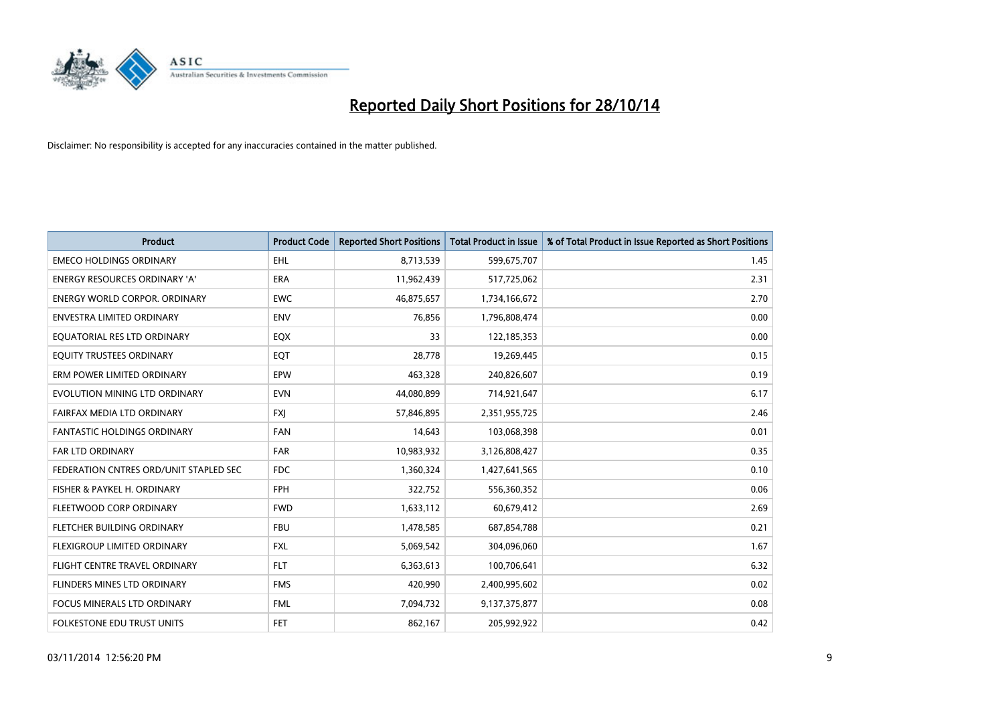

| <b>Product</b>                         | <b>Product Code</b> | <b>Reported Short Positions</b> | <b>Total Product in Issue</b> | % of Total Product in Issue Reported as Short Positions |
|----------------------------------------|---------------------|---------------------------------|-------------------------------|---------------------------------------------------------|
| <b>EMECO HOLDINGS ORDINARY</b>         | <b>EHL</b>          | 8,713,539                       | 599,675,707                   | 1.45                                                    |
| <b>ENERGY RESOURCES ORDINARY 'A'</b>   | <b>ERA</b>          | 11,962,439                      | 517,725,062                   | 2.31                                                    |
| <b>ENERGY WORLD CORPOR, ORDINARY</b>   | <b>EWC</b>          | 46,875,657                      | 1,734,166,672                 | 2.70                                                    |
| ENVESTRA LIMITED ORDINARY              | <b>ENV</b>          | 76,856                          | 1,796,808,474                 | 0.00                                                    |
| EQUATORIAL RES LTD ORDINARY            | EQX                 | 33                              | 122,185,353                   | 0.00                                                    |
| EQUITY TRUSTEES ORDINARY               | EQT                 | 28,778                          | 19,269,445                    | 0.15                                                    |
| ERM POWER LIMITED ORDINARY             | EPW                 | 463,328                         | 240,826,607                   | 0.19                                                    |
| EVOLUTION MINING LTD ORDINARY          | <b>EVN</b>          | 44,080,899                      | 714,921,647                   | 6.17                                                    |
| FAIRFAX MEDIA LTD ORDINARY             | <b>FXJ</b>          | 57,846,895                      | 2,351,955,725                 | 2.46                                                    |
| <b>FANTASTIC HOLDINGS ORDINARY</b>     | <b>FAN</b>          | 14,643                          | 103,068,398                   | 0.01                                                    |
| FAR LTD ORDINARY                       | <b>FAR</b>          | 10,983,932                      | 3,126,808,427                 | 0.35                                                    |
| FEDERATION CNTRES ORD/UNIT STAPLED SEC | <b>FDC</b>          | 1,360,324                       | 1,427,641,565                 | 0.10                                                    |
| FISHER & PAYKEL H. ORDINARY            | <b>FPH</b>          | 322,752                         | 556,360,352                   | 0.06                                                    |
| FLEETWOOD CORP ORDINARY                | <b>FWD</b>          | 1,633,112                       | 60,679,412                    | 2.69                                                    |
| FLETCHER BUILDING ORDINARY             | <b>FBU</b>          | 1,478,585                       | 687,854,788                   | 0.21                                                    |
| FLEXIGROUP LIMITED ORDINARY            | <b>FXL</b>          | 5,069,542                       | 304,096,060                   | 1.67                                                    |
| FLIGHT CENTRE TRAVEL ORDINARY          | <b>FLT</b>          | 6,363,613                       | 100,706,641                   | 6.32                                                    |
| FLINDERS MINES LTD ORDINARY            | <b>FMS</b>          | 420,990                         | 2,400,995,602                 | 0.02                                                    |
| <b>FOCUS MINERALS LTD ORDINARY</b>     | <b>FML</b>          | 7,094,732                       | 9,137,375,877                 | 0.08                                                    |
| FOLKESTONE EDU TRUST UNITS             | <b>FET</b>          | 862,167                         | 205,992,922                   | 0.42                                                    |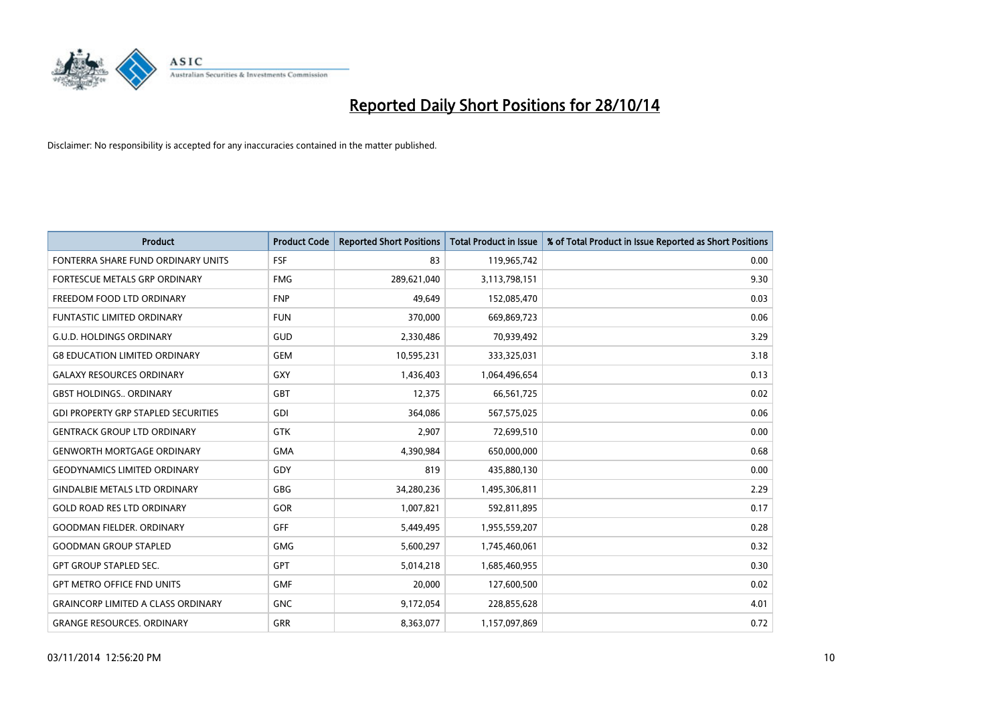

| <b>Product</b>                             | <b>Product Code</b> | <b>Reported Short Positions</b> | <b>Total Product in Issue</b> | % of Total Product in Issue Reported as Short Positions |
|--------------------------------------------|---------------------|---------------------------------|-------------------------------|---------------------------------------------------------|
| FONTERRA SHARE FUND ORDINARY UNITS         | FSF                 | 83                              | 119,965,742                   | 0.00                                                    |
| FORTESCUE METALS GRP ORDINARY              | <b>FMG</b>          | 289,621,040                     | 3,113,798,151                 | 9.30                                                    |
| FREEDOM FOOD LTD ORDINARY                  | <b>FNP</b>          | 49,649                          | 152,085,470                   | 0.03                                                    |
| <b>FUNTASTIC LIMITED ORDINARY</b>          | <b>FUN</b>          | 370,000                         | 669,869,723                   | 0.06                                                    |
| <b>G.U.D. HOLDINGS ORDINARY</b>            | GUD                 | 2,330,486                       | 70,939,492                    | 3.29                                                    |
| <b>G8 EDUCATION LIMITED ORDINARY</b>       | <b>GEM</b>          | 10,595,231                      | 333,325,031                   | 3.18                                                    |
| <b>GALAXY RESOURCES ORDINARY</b>           | <b>GXY</b>          | 1,436,403                       | 1,064,496,654                 | 0.13                                                    |
| <b>GBST HOLDINGS ORDINARY</b>              | <b>GBT</b>          | 12,375                          | 66,561,725                    | 0.02                                                    |
| <b>GDI PROPERTY GRP STAPLED SECURITIES</b> | GDI                 | 364,086                         | 567,575,025                   | 0.06                                                    |
| <b>GENTRACK GROUP LTD ORDINARY</b>         | <b>GTK</b>          | 2,907                           | 72,699,510                    | 0.00                                                    |
| <b>GENWORTH MORTGAGE ORDINARY</b>          | <b>GMA</b>          | 4,390,984                       | 650,000,000                   | 0.68                                                    |
| <b>GEODYNAMICS LIMITED ORDINARY</b>        | <b>GDY</b>          | 819                             | 435,880,130                   | 0.00                                                    |
| <b>GINDALBIE METALS LTD ORDINARY</b>       | <b>GBG</b>          | 34,280,236                      | 1,495,306,811                 | 2.29                                                    |
| <b>GOLD ROAD RES LTD ORDINARY</b>          | GOR                 | 1,007,821                       | 592,811,895                   | 0.17                                                    |
| <b>GOODMAN FIELDER, ORDINARY</b>           | GFF                 | 5,449,495                       | 1,955,559,207                 | 0.28                                                    |
| <b>GOODMAN GROUP STAPLED</b>               | <b>GMG</b>          | 5,600,297                       | 1,745,460,061                 | 0.32                                                    |
| <b>GPT GROUP STAPLED SEC.</b>              | <b>GPT</b>          | 5,014,218                       | 1,685,460,955                 | 0.30                                                    |
| <b>GPT METRO OFFICE FND UNITS</b>          | <b>GMF</b>          | 20,000                          | 127,600,500                   | 0.02                                                    |
| <b>GRAINCORP LIMITED A CLASS ORDINARY</b>  | <b>GNC</b>          | 9,172,054                       | 228,855,628                   | 4.01                                                    |
| <b>GRANGE RESOURCES. ORDINARY</b>          | GRR                 | 8,363,077                       | 1,157,097,869                 | 0.72                                                    |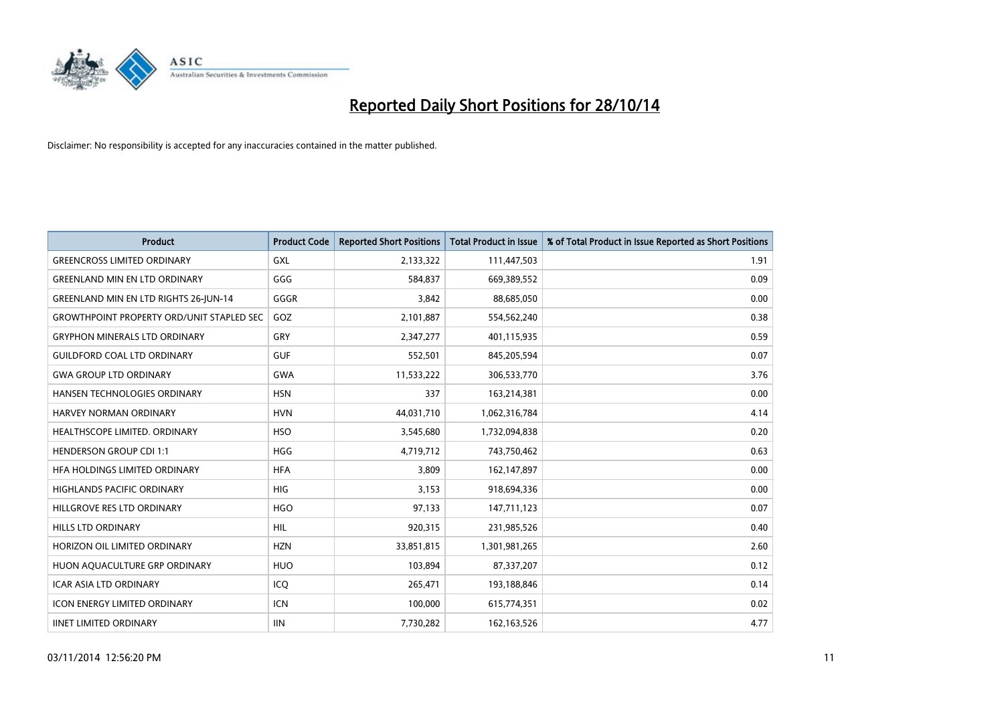

| <b>Product</b>                                   | <b>Product Code</b> | <b>Reported Short Positions</b> | <b>Total Product in Issue</b> | % of Total Product in Issue Reported as Short Positions |
|--------------------------------------------------|---------------------|---------------------------------|-------------------------------|---------------------------------------------------------|
| <b>GREENCROSS LIMITED ORDINARY</b>               | <b>GXL</b>          | 2,133,322                       | 111,447,503                   | 1.91                                                    |
| <b>GREENLAND MIN EN LTD ORDINARY</b>             | GGG                 | 584,837                         | 669,389,552                   | 0.09                                                    |
| <b>GREENLAND MIN EN LTD RIGHTS 26-JUN-14</b>     | GGGR                | 3,842                           | 88,685,050                    | 0.00                                                    |
| <b>GROWTHPOINT PROPERTY ORD/UNIT STAPLED SEC</b> | GOZ                 | 2,101,887                       | 554,562,240                   | 0.38                                                    |
| <b>GRYPHON MINERALS LTD ORDINARY</b>             | GRY                 | 2,347,277                       | 401,115,935                   | 0.59                                                    |
| <b>GUILDFORD COAL LTD ORDINARY</b>               | <b>GUF</b>          | 552,501                         | 845,205,594                   | 0.07                                                    |
| <b>GWA GROUP LTD ORDINARY</b>                    | <b>GWA</b>          | 11,533,222                      | 306,533,770                   | 3.76                                                    |
| HANSEN TECHNOLOGIES ORDINARY                     | <b>HSN</b>          | 337                             | 163,214,381                   | 0.00                                                    |
| HARVEY NORMAN ORDINARY                           | <b>HVN</b>          | 44,031,710                      | 1,062,316,784                 | 4.14                                                    |
| HEALTHSCOPE LIMITED. ORDINARY                    | <b>HSO</b>          | 3,545,680                       | 1,732,094,838                 | 0.20                                                    |
| <b>HENDERSON GROUP CDI 1:1</b>                   | HGG                 | 4,719,712                       | 743,750,462                   | 0.63                                                    |
| HFA HOLDINGS LIMITED ORDINARY                    | <b>HFA</b>          | 3,809                           | 162,147,897                   | 0.00                                                    |
| HIGHLANDS PACIFIC ORDINARY                       | <b>HIG</b>          | 3,153                           | 918,694,336                   | 0.00                                                    |
| HILLGROVE RES LTD ORDINARY                       | <b>HGO</b>          | 97,133                          | 147,711,123                   | 0.07                                                    |
| <b>HILLS LTD ORDINARY</b>                        | <b>HIL</b>          | 920,315                         | 231,985,526                   | 0.40                                                    |
| HORIZON OIL LIMITED ORDINARY                     | <b>HZN</b>          | 33,851,815                      | 1,301,981,265                 | 2.60                                                    |
| HUON AQUACULTURE GRP ORDINARY                    | <b>HUO</b>          | 103,894                         | 87,337,207                    | 0.12                                                    |
| <b>ICAR ASIA LTD ORDINARY</b>                    | ICQ                 | 265,471                         | 193,188,846                   | 0.14                                                    |
| <b>ICON ENERGY LIMITED ORDINARY</b>              | ICN                 | 100,000                         | 615,774,351                   | 0.02                                                    |
| <b>IINET LIMITED ORDINARY</b>                    | <b>IIN</b>          | 7,730,282                       | 162, 163, 526                 | 4.77                                                    |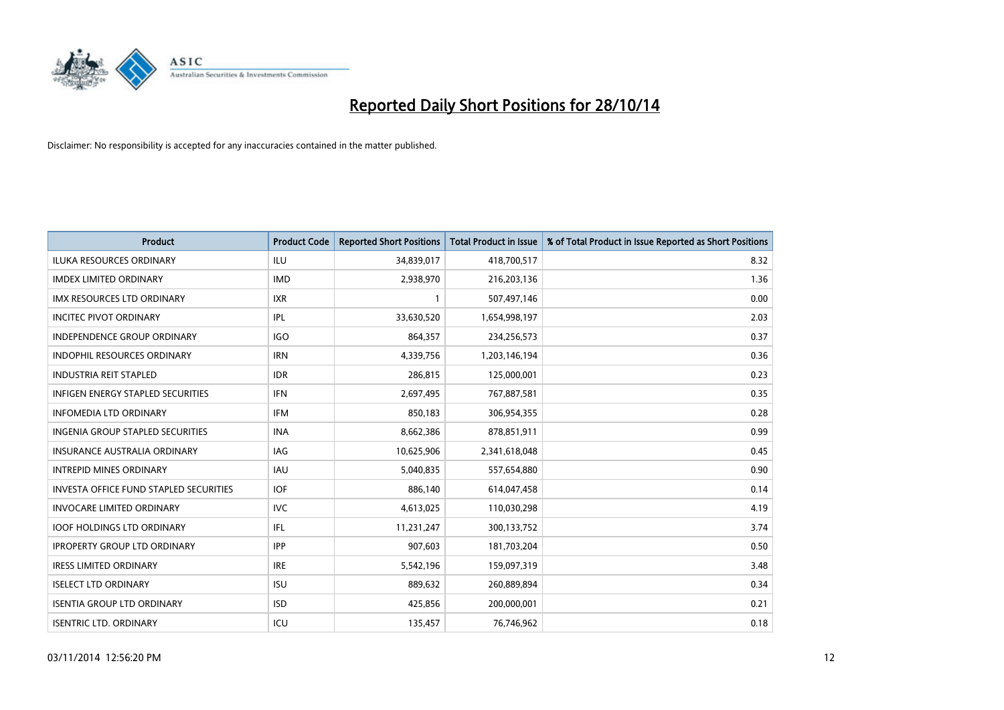

| <b>Product</b>                           | <b>Product Code</b> | <b>Reported Short Positions</b> | <b>Total Product in Issue</b> | % of Total Product in Issue Reported as Short Positions |
|------------------------------------------|---------------------|---------------------------------|-------------------------------|---------------------------------------------------------|
| <b>ILUKA RESOURCES ORDINARY</b>          | <b>ILU</b>          | 34,839,017                      | 418,700,517                   | 8.32                                                    |
| <b>IMDEX LIMITED ORDINARY</b>            | <b>IMD</b>          | 2,938,970                       | 216,203,136                   | 1.36                                                    |
| IMX RESOURCES LTD ORDINARY               | <b>IXR</b>          | $\mathbf{1}$                    | 507,497,146                   | 0.00                                                    |
| <b>INCITEC PIVOT ORDINARY</b>            | IPL                 | 33,630,520                      | 1,654,998,197                 | 2.03                                                    |
| <b>INDEPENDENCE GROUP ORDINARY</b>       | <b>IGO</b>          | 864,357                         | 234,256,573                   | 0.37                                                    |
| <b>INDOPHIL RESOURCES ORDINARY</b>       | <b>IRN</b>          | 4,339,756                       | 1,203,146,194                 | 0.36                                                    |
| <b>INDUSTRIA REIT STAPLED</b>            | <b>IDR</b>          | 286,815                         | 125,000,001                   | 0.23                                                    |
| <b>INFIGEN ENERGY STAPLED SECURITIES</b> | <b>IFN</b>          | 2,697,495                       | 767,887,581                   | 0.35                                                    |
| <b>INFOMEDIA LTD ORDINARY</b>            | <b>IFM</b>          | 850,183                         | 306,954,355                   | 0.28                                                    |
| INGENIA GROUP STAPLED SECURITIES         | <b>INA</b>          | 8,662,386                       | 878,851,911                   | 0.99                                                    |
| <b>INSURANCE AUSTRALIA ORDINARY</b>      | IAG                 | 10,625,906                      | 2,341,618,048                 | 0.45                                                    |
| <b>INTREPID MINES ORDINARY</b>           | IAU                 | 5,040,835                       | 557,654,880                   | 0.90                                                    |
| INVESTA OFFICE FUND STAPLED SECURITIES   | <b>IOF</b>          | 886,140                         | 614,047,458                   | 0.14                                                    |
| <b>INVOCARE LIMITED ORDINARY</b>         | <b>IVC</b>          | 4,613,025                       | 110,030,298                   | 4.19                                                    |
| <b>IOOF HOLDINGS LTD ORDINARY</b>        | IFL                 | 11,231,247                      | 300,133,752                   | 3.74                                                    |
| <b>IPROPERTY GROUP LTD ORDINARY</b>      | <b>IPP</b>          | 907,603                         | 181,703,204                   | 0.50                                                    |
| <b>IRESS LIMITED ORDINARY</b>            | <b>IRE</b>          | 5,542,196                       | 159,097,319                   | 3.48                                                    |
| <b>ISELECT LTD ORDINARY</b>              | <b>ISU</b>          | 889,632                         | 260,889,894                   | 0.34                                                    |
| <b>ISENTIA GROUP LTD ORDINARY</b>        | <b>ISD</b>          | 425,856                         | 200,000,001                   | 0.21                                                    |
| <b>ISENTRIC LTD. ORDINARY</b>            | ICU                 | 135,457                         | 76,746,962                    | 0.18                                                    |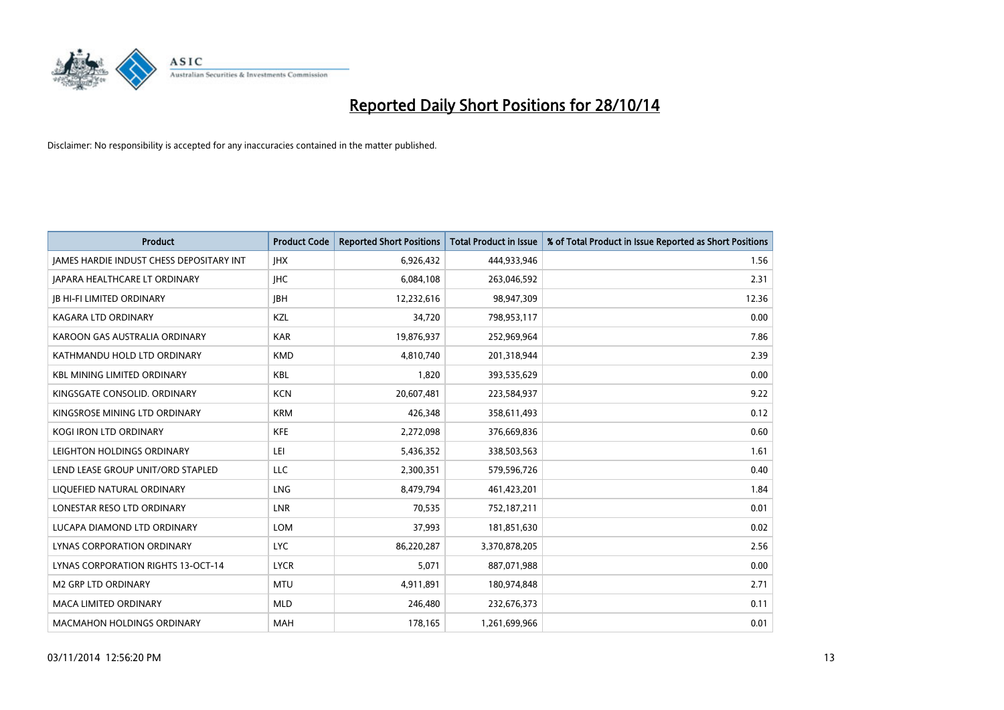

| <b>Product</b>                                  | <b>Product Code</b> | <b>Reported Short Positions</b> | <b>Total Product in Issue</b> | % of Total Product in Issue Reported as Short Positions |
|-------------------------------------------------|---------------------|---------------------------------|-------------------------------|---------------------------------------------------------|
| <b>JAMES HARDIE INDUST CHESS DEPOSITARY INT</b> | <b>IHX</b>          | 6,926,432                       | 444,933,946                   | 1.56                                                    |
| JAPARA HEALTHCARE LT ORDINARY                   | <b>IHC</b>          | 6,084,108                       | 263,046,592                   | 2.31                                                    |
| <b>IB HI-FI LIMITED ORDINARY</b>                | <b>IBH</b>          | 12,232,616                      | 98,947,309                    | 12.36                                                   |
| <b>KAGARA LTD ORDINARY</b>                      | <b>KZL</b>          | 34,720                          | 798,953,117                   | 0.00                                                    |
| KAROON GAS AUSTRALIA ORDINARY                   | <b>KAR</b>          | 19,876,937                      | 252,969,964                   | 7.86                                                    |
| KATHMANDU HOLD LTD ORDINARY                     | <b>KMD</b>          | 4,810,740                       | 201,318,944                   | 2.39                                                    |
| <b>KBL MINING LIMITED ORDINARY</b>              | <b>KBL</b>          | 1,820                           | 393,535,629                   | 0.00                                                    |
| KINGSGATE CONSOLID, ORDINARY                    | <b>KCN</b>          | 20,607,481                      | 223,584,937                   | 9.22                                                    |
| KINGSROSE MINING LTD ORDINARY                   | <b>KRM</b>          | 426,348                         | 358,611,493                   | 0.12                                                    |
| <b>KOGI IRON LTD ORDINARY</b>                   | <b>KFE</b>          | 2,272,098                       | 376,669,836                   | 0.60                                                    |
| LEIGHTON HOLDINGS ORDINARY                      | LEI                 | 5,436,352                       | 338,503,563                   | 1.61                                                    |
| LEND LEASE GROUP UNIT/ORD STAPLED               | <b>LLC</b>          | 2,300,351                       | 579,596,726                   | 0.40                                                    |
| LIQUEFIED NATURAL ORDINARY                      | <b>LNG</b>          | 8,479,794                       | 461,423,201                   | 1.84                                                    |
| LONESTAR RESO LTD ORDINARY                      | LNR                 | 70,535                          | 752,187,211                   | 0.01                                                    |
| LUCAPA DIAMOND LTD ORDINARY                     | <b>LOM</b>          | 37,993                          | 181,851,630                   | 0.02                                                    |
| LYNAS CORPORATION ORDINARY                      | <b>LYC</b>          | 86,220,287                      | 3,370,878,205                 | 2.56                                                    |
| LYNAS CORPORATION RIGHTS 13-OCT-14              | <b>LYCR</b>         | 5,071                           | 887,071,988                   | 0.00                                                    |
| <b>M2 GRP LTD ORDINARY</b>                      | <b>MTU</b>          | 4,911,891                       | 180,974,848                   | 2.71                                                    |
| <b>MACA LIMITED ORDINARY</b>                    | <b>MLD</b>          | 246,480                         | 232,676,373                   | 0.11                                                    |
| <b>MACMAHON HOLDINGS ORDINARY</b>               | <b>MAH</b>          | 178,165                         | 1,261,699,966                 | 0.01                                                    |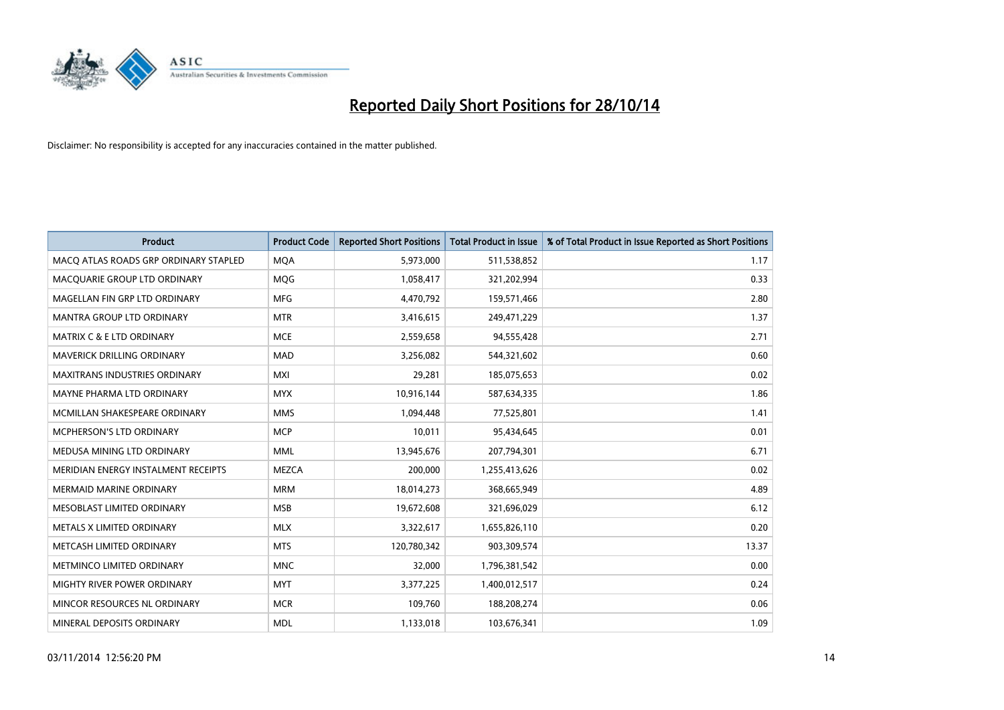

| <b>Product</b>                        | <b>Product Code</b> | <b>Reported Short Positions</b> | <b>Total Product in Issue</b> | % of Total Product in Issue Reported as Short Positions |
|---------------------------------------|---------------------|---------------------------------|-------------------------------|---------------------------------------------------------|
| MACO ATLAS ROADS GRP ORDINARY STAPLED | <b>MQA</b>          | 5,973,000                       | 511,538,852                   | 1.17                                                    |
| MACQUARIE GROUP LTD ORDINARY          | <b>MOG</b>          | 1,058,417                       | 321,202,994                   | 0.33                                                    |
| MAGELLAN FIN GRP LTD ORDINARY         | <b>MFG</b>          | 4,470,792                       | 159,571,466                   | 2.80                                                    |
| MANTRA GROUP LTD ORDINARY             | <b>MTR</b>          | 3,416,615                       | 249,471,229                   | 1.37                                                    |
| <b>MATRIX C &amp; E LTD ORDINARY</b>  | <b>MCE</b>          | 2,559,658                       | 94,555,428                    | 2.71                                                    |
| MAVERICK DRILLING ORDINARY            | <b>MAD</b>          | 3,256,082                       | 544,321,602                   | 0.60                                                    |
| <b>MAXITRANS INDUSTRIES ORDINARY</b>  | <b>MXI</b>          | 29,281                          | 185,075,653                   | 0.02                                                    |
| MAYNE PHARMA LTD ORDINARY             | <b>MYX</b>          | 10,916,144                      | 587,634,335                   | 1.86                                                    |
| MCMILLAN SHAKESPEARE ORDINARY         | <b>MMS</b>          | 1,094,448                       | 77,525,801                    | 1.41                                                    |
| <b>MCPHERSON'S LTD ORDINARY</b>       | <b>MCP</b>          | 10,011                          | 95,434,645                    | 0.01                                                    |
| MEDUSA MINING LTD ORDINARY            | <b>MML</b>          | 13,945,676                      | 207,794,301                   | 6.71                                                    |
| MERIDIAN ENERGY INSTALMENT RECEIPTS   | <b>MEZCA</b>        | 200,000                         | 1,255,413,626                 | 0.02                                                    |
| <b>MERMAID MARINE ORDINARY</b>        | <b>MRM</b>          | 18,014,273                      | 368,665,949                   | 4.89                                                    |
| MESOBLAST LIMITED ORDINARY            | <b>MSB</b>          | 19,672,608                      | 321,696,029                   | 6.12                                                    |
| METALS X LIMITED ORDINARY             | <b>MLX</b>          | 3,322,617                       | 1,655,826,110                 | 0.20                                                    |
| METCASH LIMITED ORDINARY              | <b>MTS</b>          | 120,780,342                     | 903,309,574                   | 13.37                                                   |
| METMINCO LIMITED ORDINARY             | <b>MNC</b>          | 32,000                          | 1,796,381,542                 | 0.00                                                    |
| MIGHTY RIVER POWER ORDINARY           | <b>MYT</b>          | 3,377,225                       | 1,400,012,517                 | 0.24                                                    |
| MINCOR RESOURCES NL ORDINARY          | <b>MCR</b>          | 109,760                         | 188,208,274                   | 0.06                                                    |
| MINERAL DEPOSITS ORDINARY             | <b>MDL</b>          | 1,133,018                       | 103,676,341                   | 1.09                                                    |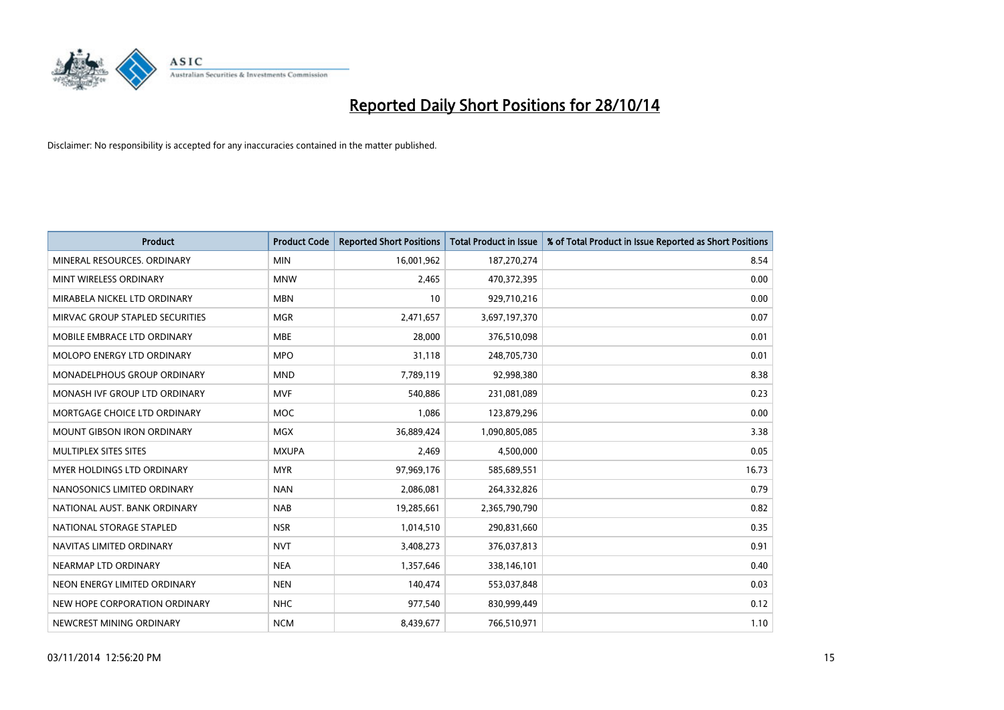

| <b>Product</b>                    | <b>Product Code</b> | <b>Reported Short Positions</b> | <b>Total Product in Issue</b> | % of Total Product in Issue Reported as Short Positions |
|-----------------------------------|---------------------|---------------------------------|-------------------------------|---------------------------------------------------------|
| MINERAL RESOURCES, ORDINARY       | <b>MIN</b>          | 16,001,962                      | 187,270,274                   | 8.54                                                    |
| MINT WIRELESS ORDINARY            | <b>MNW</b>          | 2,465                           | 470,372,395                   | 0.00                                                    |
| MIRABELA NICKEL LTD ORDINARY      | <b>MBN</b>          | 10                              | 929,710,216                   | 0.00                                                    |
| MIRVAC GROUP STAPLED SECURITIES   | <b>MGR</b>          | 2,471,657                       | 3,697,197,370                 | 0.07                                                    |
| MOBILE EMBRACE LTD ORDINARY       | <b>MBE</b>          | 28,000                          | 376,510,098                   | 0.01                                                    |
| MOLOPO ENERGY LTD ORDINARY        | <b>MPO</b>          | 31,118                          | 248,705,730                   | 0.01                                                    |
| MONADELPHOUS GROUP ORDINARY       | <b>MND</b>          | 7,789,119                       | 92,998,380                    | 8.38                                                    |
| MONASH IVF GROUP LTD ORDINARY     | <b>MVF</b>          | 540,886                         | 231,081,089                   | 0.23                                                    |
| MORTGAGE CHOICE LTD ORDINARY      | <b>MOC</b>          | 1,086                           | 123,879,296                   | 0.00                                                    |
| <b>MOUNT GIBSON IRON ORDINARY</b> | <b>MGX</b>          | 36,889,424                      | 1,090,805,085                 | 3.38                                                    |
| MULTIPLEX SITES SITES             | <b>MXUPA</b>        | 2,469                           | 4,500,000                     | 0.05                                                    |
| <b>MYER HOLDINGS LTD ORDINARY</b> | <b>MYR</b>          | 97,969,176                      | 585,689,551                   | 16.73                                                   |
| NANOSONICS LIMITED ORDINARY       | <b>NAN</b>          | 2,086,081                       | 264,332,826                   | 0.79                                                    |
| NATIONAL AUST. BANK ORDINARY      | <b>NAB</b>          | 19,285,661                      | 2,365,790,790                 | 0.82                                                    |
| NATIONAL STORAGE STAPLED          | <b>NSR</b>          | 1,014,510                       | 290,831,660                   | 0.35                                                    |
| NAVITAS LIMITED ORDINARY          | <b>NVT</b>          | 3,408,273                       | 376,037,813                   | 0.91                                                    |
| NEARMAP LTD ORDINARY              | <b>NEA</b>          | 1,357,646                       | 338,146,101                   | 0.40                                                    |
| NEON ENERGY LIMITED ORDINARY      | <b>NEN</b>          | 140,474                         | 553,037,848                   | 0.03                                                    |
| NEW HOPE CORPORATION ORDINARY     | <b>NHC</b>          | 977,540                         | 830,999,449                   | 0.12                                                    |
| NEWCREST MINING ORDINARY          | <b>NCM</b>          | 8,439,677                       | 766,510,971                   | 1.10                                                    |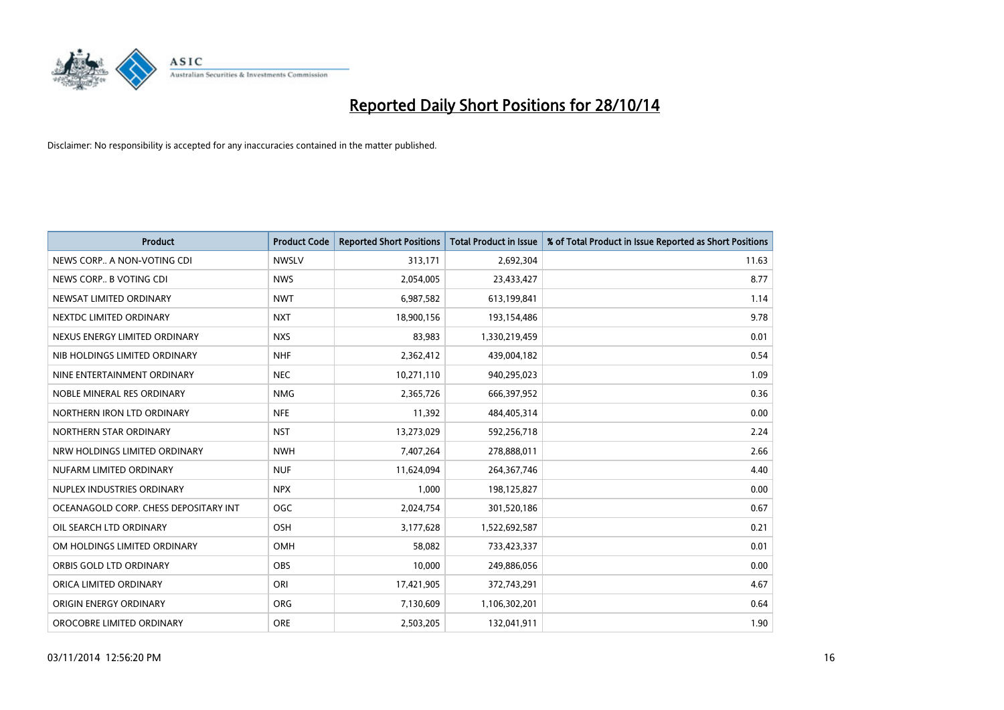

| <b>Product</b>                        | <b>Product Code</b> | <b>Reported Short Positions</b> | <b>Total Product in Issue</b> | % of Total Product in Issue Reported as Short Positions |
|---------------------------------------|---------------------|---------------------------------|-------------------------------|---------------------------------------------------------|
| NEWS CORP A NON-VOTING CDI            | <b>NWSLV</b>        | 313,171                         | 2,692,304                     | 11.63                                                   |
| NEWS CORP B VOTING CDI                | <b>NWS</b>          | 2,054,005                       | 23,433,427                    | 8.77                                                    |
| NEWSAT LIMITED ORDINARY               | <b>NWT</b>          | 6,987,582                       | 613,199,841                   | 1.14                                                    |
| NEXTDC LIMITED ORDINARY               | <b>NXT</b>          | 18,900,156                      | 193,154,486                   | 9.78                                                    |
| NEXUS ENERGY LIMITED ORDINARY         | <b>NXS</b>          | 83,983                          | 1,330,219,459                 | 0.01                                                    |
| NIB HOLDINGS LIMITED ORDINARY         | <b>NHF</b>          | 2,362,412                       | 439,004,182                   | 0.54                                                    |
| NINE ENTERTAINMENT ORDINARY           | <b>NEC</b>          | 10,271,110                      | 940,295,023                   | 1.09                                                    |
| NOBLE MINERAL RES ORDINARY            | <b>NMG</b>          | 2,365,726                       | 666,397,952                   | 0.36                                                    |
| NORTHERN IRON LTD ORDINARY            | <b>NFE</b>          | 11,392                          | 484,405,314                   | 0.00                                                    |
| NORTHERN STAR ORDINARY                | <b>NST</b>          | 13,273,029                      | 592,256,718                   | 2.24                                                    |
| NRW HOLDINGS LIMITED ORDINARY         | <b>NWH</b>          | 7,407,264                       | 278,888,011                   | 2.66                                                    |
| NUFARM LIMITED ORDINARY               | <b>NUF</b>          | 11,624,094                      | 264,367,746                   | 4.40                                                    |
| NUPLEX INDUSTRIES ORDINARY            | <b>NPX</b>          | 1,000                           | 198,125,827                   | 0.00                                                    |
| OCEANAGOLD CORP. CHESS DEPOSITARY INT | <b>OGC</b>          | 2,024,754                       | 301,520,186                   | 0.67                                                    |
| OIL SEARCH LTD ORDINARY               | OSH                 | 3,177,628                       | 1,522,692,587                 | 0.21                                                    |
| OM HOLDINGS LIMITED ORDINARY          | <b>OMH</b>          | 58,082                          | 733,423,337                   | 0.01                                                    |
| ORBIS GOLD LTD ORDINARY               | OBS                 | 10,000                          | 249,886,056                   | 0.00                                                    |
| ORICA LIMITED ORDINARY                | ORI                 | 17,421,905                      | 372,743,291                   | 4.67                                                    |
| ORIGIN ENERGY ORDINARY                | <b>ORG</b>          | 7,130,609                       | 1,106,302,201                 | 0.64                                                    |
| OROCOBRE LIMITED ORDINARY             | <b>ORE</b>          | 2,503,205                       | 132,041,911                   | 1.90                                                    |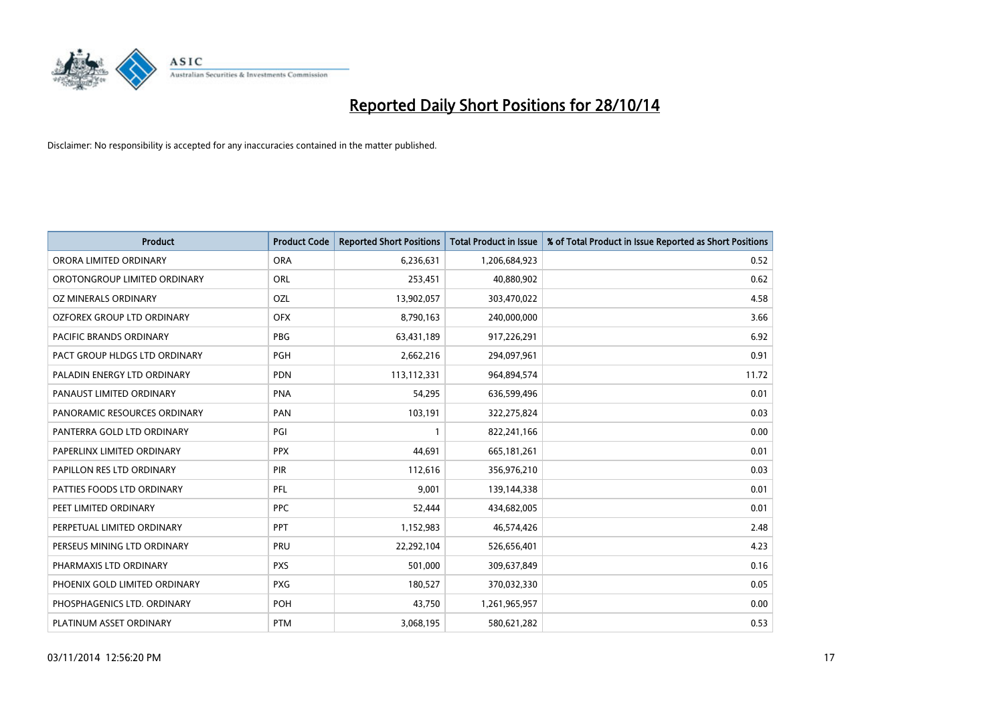

| <b>Product</b>                 | <b>Product Code</b> | <b>Reported Short Positions</b> | <b>Total Product in Issue</b> | % of Total Product in Issue Reported as Short Positions |
|--------------------------------|---------------------|---------------------------------|-------------------------------|---------------------------------------------------------|
| ORORA LIMITED ORDINARY         | <b>ORA</b>          | 6,236,631                       | 1,206,684,923                 | 0.52                                                    |
| OROTONGROUP LIMITED ORDINARY   | ORL                 | 253,451                         | 40,880,902                    | 0.62                                                    |
| OZ MINERALS ORDINARY           | OZL                 | 13,902,057                      | 303,470,022                   | 4.58                                                    |
| OZFOREX GROUP LTD ORDINARY     | <b>OFX</b>          | 8,790,163                       | 240,000,000                   | 3.66                                                    |
| <b>PACIFIC BRANDS ORDINARY</b> | <b>PBG</b>          | 63,431,189                      | 917,226,291                   | 6.92                                                    |
| PACT GROUP HLDGS LTD ORDINARY  | <b>PGH</b>          | 2,662,216                       | 294,097,961                   | 0.91                                                    |
| PALADIN ENERGY LTD ORDINARY    | <b>PDN</b>          | 113,112,331                     | 964,894,574                   | 11.72                                                   |
| PANAUST LIMITED ORDINARY       | <b>PNA</b>          | 54,295                          | 636,599,496                   | 0.01                                                    |
| PANORAMIC RESOURCES ORDINARY   | PAN                 | 103,191                         | 322,275,824                   | 0.03                                                    |
| PANTERRA GOLD LTD ORDINARY     | PGI                 | $\mathbf{1}$                    | 822,241,166                   | 0.00                                                    |
| PAPERLINX LIMITED ORDINARY     | <b>PPX</b>          | 44,691                          | 665,181,261                   | 0.01                                                    |
| PAPILLON RES LTD ORDINARY      | PIR                 | 112,616                         | 356,976,210                   | 0.03                                                    |
| PATTIES FOODS LTD ORDINARY     | PFL                 | 9,001                           | 139,144,338                   | 0.01                                                    |
| PEET LIMITED ORDINARY          | <b>PPC</b>          | 52,444                          | 434,682,005                   | 0.01                                                    |
| PERPETUAL LIMITED ORDINARY     | <b>PPT</b>          | 1,152,983                       | 46,574,426                    | 2.48                                                    |
| PERSEUS MINING LTD ORDINARY    | PRU                 | 22,292,104                      | 526,656,401                   | 4.23                                                    |
| PHARMAXIS LTD ORDINARY         | <b>PXS</b>          | 501,000                         | 309,637,849                   | 0.16                                                    |
| PHOENIX GOLD LIMITED ORDINARY  | <b>PXG</b>          | 180,527                         | 370,032,330                   | 0.05                                                    |
| PHOSPHAGENICS LTD. ORDINARY    | <b>POH</b>          | 43,750                          | 1,261,965,957                 | 0.00                                                    |
| PLATINUM ASSET ORDINARY        | <b>PTM</b>          | 3,068,195                       | 580,621,282                   | 0.53                                                    |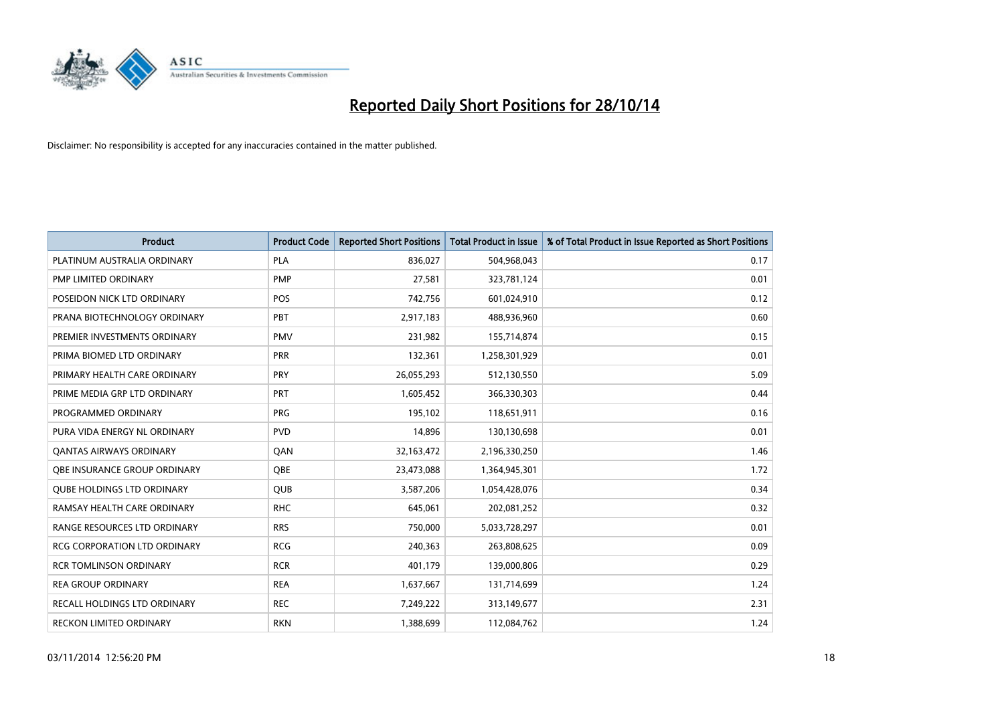

| <b>Product</b>                      | <b>Product Code</b> | <b>Reported Short Positions</b> | <b>Total Product in Issue</b> | % of Total Product in Issue Reported as Short Positions |
|-------------------------------------|---------------------|---------------------------------|-------------------------------|---------------------------------------------------------|
| PLATINUM AUSTRALIA ORDINARY         | <b>PLA</b>          | 836,027                         | 504,968,043                   | 0.17                                                    |
| PMP LIMITED ORDINARY                | <b>PMP</b>          | 27,581                          | 323,781,124                   | 0.01                                                    |
| POSEIDON NICK LTD ORDINARY          | <b>POS</b>          | 742,756                         | 601,024,910                   | 0.12                                                    |
| PRANA BIOTECHNOLOGY ORDINARY        | <b>PBT</b>          | 2,917,183                       | 488,936,960                   | 0.60                                                    |
| PREMIER INVESTMENTS ORDINARY        | <b>PMV</b>          | 231,982                         | 155,714,874                   | 0.15                                                    |
| PRIMA BIOMED LTD ORDINARY           | PRR                 | 132,361                         | 1,258,301,929                 | 0.01                                                    |
| PRIMARY HEALTH CARE ORDINARY        | <b>PRY</b>          | 26,055,293                      | 512,130,550                   | 5.09                                                    |
| PRIME MEDIA GRP LTD ORDINARY        | <b>PRT</b>          | 1,605,452                       | 366,330,303                   | 0.44                                                    |
| PROGRAMMED ORDINARY                 | <b>PRG</b>          | 195,102                         | 118,651,911                   | 0.16                                                    |
| PURA VIDA ENERGY NL ORDINARY        | <b>PVD</b>          | 14,896                          | 130,130,698                   | 0.01                                                    |
| <b>QANTAS AIRWAYS ORDINARY</b>      | QAN                 | 32,163,472                      | 2,196,330,250                 | 1.46                                                    |
| <b>OBE INSURANCE GROUP ORDINARY</b> | <b>OBE</b>          | 23,473,088                      | 1,364,945,301                 | 1.72                                                    |
| <b>QUBE HOLDINGS LTD ORDINARY</b>   | <b>QUB</b>          | 3,587,206                       | 1,054,428,076                 | 0.34                                                    |
| RAMSAY HEALTH CARE ORDINARY         | <b>RHC</b>          | 645,061                         | 202,081,252                   | 0.32                                                    |
| RANGE RESOURCES LTD ORDINARY        | <b>RRS</b>          | 750,000                         | 5,033,728,297                 | 0.01                                                    |
| RCG CORPORATION LTD ORDINARY        | <b>RCG</b>          | 240,363                         | 263,808,625                   | 0.09                                                    |
| <b>RCR TOMLINSON ORDINARY</b>       | <b>RCR</b>          | 401,179                         | 139,000,806                   | 0.29                                                    |
| <b>REA GROUP ORDINARY</b>           | <b>REA</b>          | 1,637,667                       | 131,714,699                   | 1.24                                                    |
| RECALL HOLDINGS LTD ORDINARY        | <b>REC</b>          | 7,249,222                       | 313,149,677                   | 2.31                                                    |
| RECKON LIMITED ORDINARY             | <b>RKN</b>          | 1,388,699                       | 112,084,762                   | 1.24                                                    |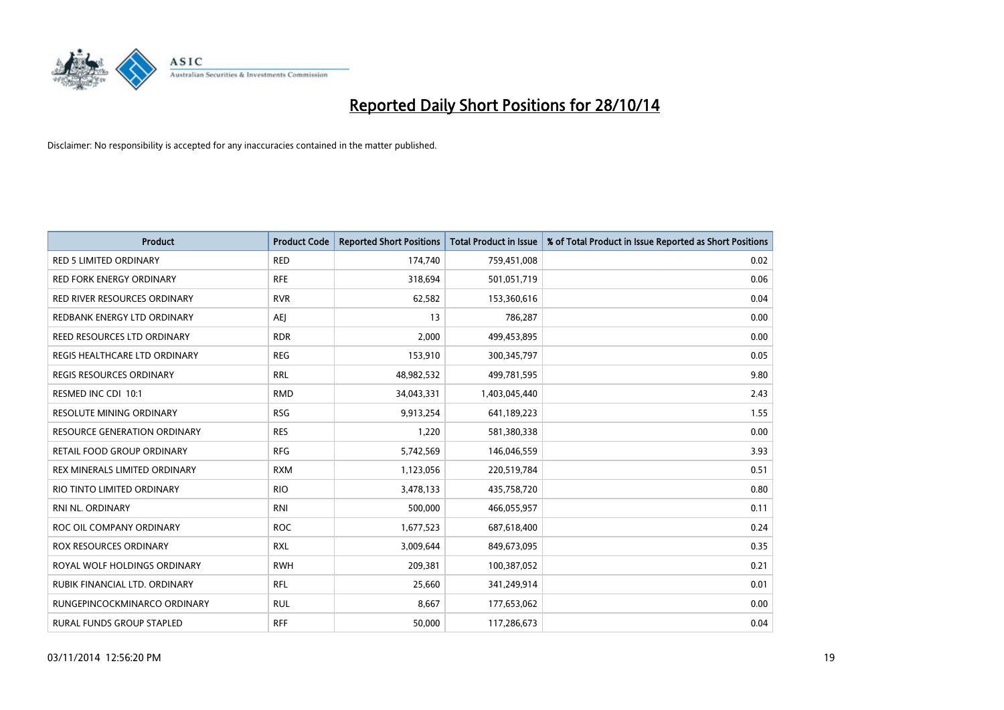

| <b>Product</b>                      | <b>Product Code</b> | <b>Reported Short Positions</b> | <b>Total Product in Issue</b> | % of Total Product in Issue Reported as Short Positions |
|-------------------------------------|---------------------|---------------------------------|-------------------------------|---------------------------------------------------------|
| <b>RED 5 LIMITED ORDINARY</b>       | <b>RED</b>          | 174,740                         | 759,451,008                   | 0.02                                                    |
| <b>RED FORK ENERGY ORDINARY</b>     | <b>RFE</b>          | 318,694                         | 501,051,719                   | 0.06                                                    |
| <b>RED RIVER RESOURCES ORDINARY</b> | <b>RVR</b>          | 62,582                          | 153,360,616                   | 0.04                                                    |
| REDBANK ENERGY LTD ORDINARY         | AEJ                 | 13                              | 786,287                       | 0.00                                                    |
| <b>REED RESOURCES LTD ORDINARY</b>  | <b>RDR</b>          | 2,000                           | 499,453,895                   | 0.00                                                    |
| REGIS HEALTHCARE LTD ORDINARY       | <b>REG</b>          | 153,910                         | 300,345,797                   | 0.05                                                    |
| <b>REGIS RESOURCES ORDINARY</b>     | <b>RRL</b>          | 48,982,532                      | 499,781,595                   | 9.80                                                    |
| RESMED INC CDI 10:1                 | <b>RMD</b>          | 34,043,331                      | 1,403,045,440                 | 2.43                                                    |
| <b>RESOLUTE MINING ORDINARY</b>     | <b>RSG</b>          | 9,913,254                       | 641,189,223                   | 1.55                                                    |
| <b>RESOURCE GENERATION ORDINARY</b> | <b>RES</b>          | 1,220                           | 581,380,338                   | 0.00                                                    |
| RETAIL FOOD GROUP ORDINARY          | <b>RFG</b>          | 5,742,569                       | 146,046,559                   | 3.93                                                    |
| REX MINERALS LIMITED ORDINARY       | <b>RXM</b>          | 1,123,056                       | 220,519,784                   | 0.51                                                    |
| RIO TINTO LIMITED ORDINARY          | <b>RIO</b>          | 3,478,133                       | 435,758,720                   | 0.80                                                    |
| <b>RNI NL. ORDINARY</b>             | <b>RNI</b>          | 500,000                         | 466,055,957                   | 0.11                                                    |
| ROC OIL COMPANY ORDINARY            | <b>ROC</b>          | 1,677,523                       | 687,618,400                   | 0.24                                                    |
| ROX RESOURCES ORDINARY              | <b>RXL</b>          | 3,009,644                       | 849,673,095                   | 0.35                                                    |
| ROYAL WOLF HOLDINGS ORDINARY        | <b>RWH</b>          | 209,381                         | 100,387,052                   | 0.21                                                    |
| RUBIK FINANCIAL LTD, ORDINARY       | <b>RFL</b>          | 25,660                          | 341,249,914                   | 0.01                                                    |
| RUNGEPINCOCKMINARCO ORDINARY        | <b>RUL</b>          | 8,667                           | 177,653,062                   | 0.00                                                    |
| RURAL FUNDS GROUP STAPLED           | <b>RFF</b>          | 50,000                          | 117,286,673                   | 0.04                                                    |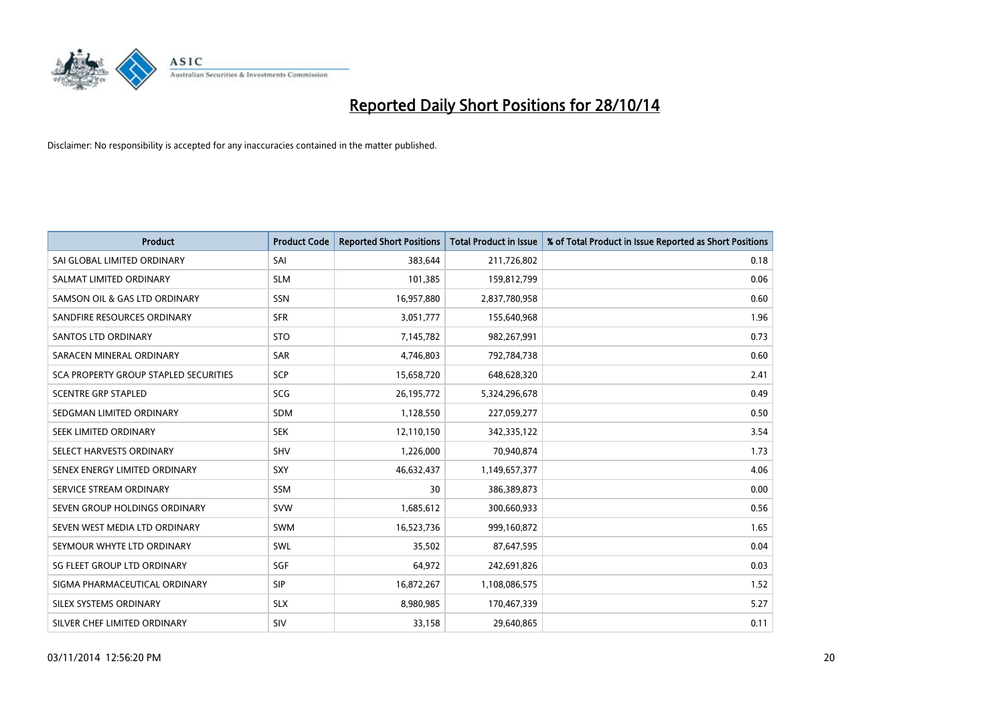

| <b>Product</b>                        | <b>Product Code</b> | <b>Reported Short Positions</b> | <b>Total Product in Issue</b> | % of Total Product in Issue Reported as Short Positions |
|---------------------------------------|---------------------|---------------------------------|-------------------------------|---------------------------------------------------------|
| SAI GLOBAL LIMITED ORDINARY           | SAI                 | 383,644                         | 211,726,802                   | 0.18                                                    |
| SALMAT LIMITED ORDINARY               | <b>SLM</b>          | 101,385                         | 159,812,799                   | 0.06                                                    |
| SAMSON OIL & GAS LTD ORDINARY         | <b>SSN</b>          | 16,957,880                      | 2,837,780,958                 | 0.60                                                    |
| SANDFIRE RESOURCES ORDINARY           | <b>SFR</b>          | 3,051,777                       | 155,640,968                   | 1.96                                                    |
| SANTOS LTD ORDINARY                   | <b>STO</b>          | 7,145,782                       | 982,267,991                   | 0.73                                                    |
| SARACEN MINERAL ORDINARY              | <b>SAR</b>          | 4,746,803                       | 792,784,738                   | 0.60                                                    |
| SCA PROPERTY GROUP STAPLED SECURITIES | <b>SCP</b>          | 15,658,720                      | 648,628,320                   | 2.41                                                    |
| <b>SCENTRE GRP STAPLED</b>            | SCG                 | 26,195,772                      | 5,324,296,678                 | 0.49                                                    |
| SEDGMAN LIMITED ORDINARY              | <b>SDM</b>          | 1,128,550                       | 227,059,277                   | 0.50                                                    |
| SEEK LIMITED ORDINARY                 | <b>SEK</b>          | 12,110,150                      | 342,335,122                   | 3.54                                                    |
| SELECT HARVESTS ORDINARY              | <b>SHV</b>          | 1,226,000                       | 70,940,874                    | 1.73                                                    |
| SENEX ENERGY LIMITED ORDINARY         | SXY                 | 46,632,437                      | 1,149,657,377                 | 4.06                                                    |
| SERVICE STREAM ORDINARY               | <b>SSM</b>          | 30                              | 386,389,873                   | 0.00                                                    |
| SEVEN GROUP HOLDINGS ORDINARY         | <b>SVW</b>          | 1,685,612                       | 300,660,933                   | 0.56                                                    |
| SEVEN WEST MEDIA LTD ORDINARY         | <b>SWM</b>          | 16,523,736                      | 999,160,872                   | 1.65                                                    |
| SEYMOUR WHYTE LTD ORDINARY            | <b>SWL</b>          | 35,502                          | 87,647,595                    | 0.04                                                    |
| SG FLEET GROUP LTD ORDINARY           | SGF                 | 64,972                          | 242,691,826                   | 0.03                                                    |
| SIGMA PHARMACEUTICAL ORDINARY         | <b>SIP</b>          | 16,872,267                      | 1,108,086,575                 | 1.52                                                    |
| SILEX SYSTEMS ORDINARY                | <b>SLX</b>          | 8,980,985                       | 170,467,339                   | 5.27                                                    |
| SILVER CHEF LIMITED ORDINARY          | SIV                 | 33,158                          | 29,640,865                    | 0.11                                                    |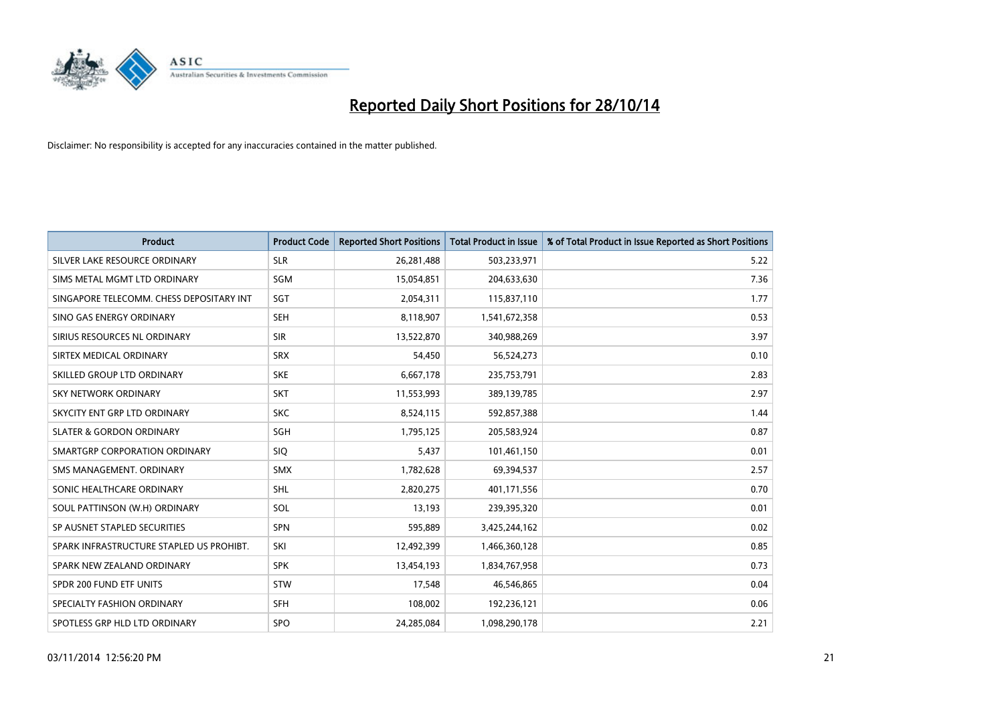

| <b>Product</b>                           | <b>Product Code</b> | <b>Reported Short Positions</b> | <b>Total Product in Issue</b> | % of Total Product in Issue Reported as Short Positions |
|------------------------------------------|---------------------|---------------------------------|-------------------------------|---------------------------------------------------------|
| SILVER LAKE RESOURCE ORDINARY            | <b>SLR</b>          | 26,281,488                      | 503,233,971                   | 5.22                                                    |
| SIMS METAL MGMT LTD ORDINARY             | SGM                 | 15,054,851                      | 204,633,630                   | 7.36                                                    |
| SINGAPORE TELECOMM. CHESS DEPOSITARY INT | SGT                 | 2,054,311                       | 115,837,110                   | 1.77                                                    |
| SINO GAS ENERGY ORDINARY                 | <b>SEH</b>          | 8,118,907                       | 1,541,672,358                 | 0.53                                                    |
| SIRIUS RESOURCES NL ORDINARY             | <b>SIR</b>          | 13,522,870                      | 340,988,269                   | 3.97                                                    |
| SIRTEX MEDICAL ORDINARY                  | <b>SRX</b>          | 54,450                          | 56,524,273                    | 0.10                                                    |
| SKILLED GROUP LTD ORDINARY               | <b>SKE</b>          | 6,667,178                       | 235,753,791                   | 2.83                                                    |
| <b>SKY NETWORK ORDINARY</b>              | <b>SKT</b>          | 11,553,993                      | 389,139,785                   | 2.97                                                    |
| SKYCITY ENT GRP LTD ORDINARY             | <b>SKC</b>          | 8,524,115                       | 592,857,388                   | 1.44                                                    |
| <b>SLATER &amp; GORDON ORDINARY</b>      | SGH                 | 1,795,125                       | 205,583,924                   | 0.87                                                    |
| SMARTGRP CORPORATION ORDINARY            | <b>SIQ</b>          | 5,437                           | 101,461,150                   | 0.01                                                    |
| SMS MANAGEMENT, ORDINARY                 | <b>SMX</b>          | 1,782,628                       | 69,394,537                    | 2.57                                                    |
| SONIC HEALTHCARE ORDINARY                | <b>SHL</b>          | 2,820,275                       | 401,171,556                   | 0.70                                                    |
| SOUL PATTINSON (W.H) ORDINARY            | SOL                 | 13,193                          | 239,395,320                   | 0.01                                                    |
| SP AUSNET STAPLED SECURITIES             | <b>SPN</b>          | 595,889                         | 3,425,244,162                 | 0.02                                                    |
| SPARK INFRASTRUCTURE STAPLED US PROHIBT. | SKI                 | 12,492,399                      | 1,466,360,128                 | 0.85                                                    |
| SPARK NEW ZEALAND ORDINARY               | <b>SPK</b>          | 13,454,193                      | 1,834,767,958                 | 0.73                                                    |
| SPDR 200 FUND ETF UNITS                  | <b>STW</b>          | 17,548                          | 46,546,865                    | 0.04                                                    |
| SPECIALTY FASHION ORDINARY               | <b>SFH</b>          | 108,002                         | 192,236,121                   | 0.06                                                    |
| SPOTLESS GRP HLD LTD ORDINARY            | <b>SPO</b>          | 24,285,084                      | 1,098,290,178                 | 2.21                                                    |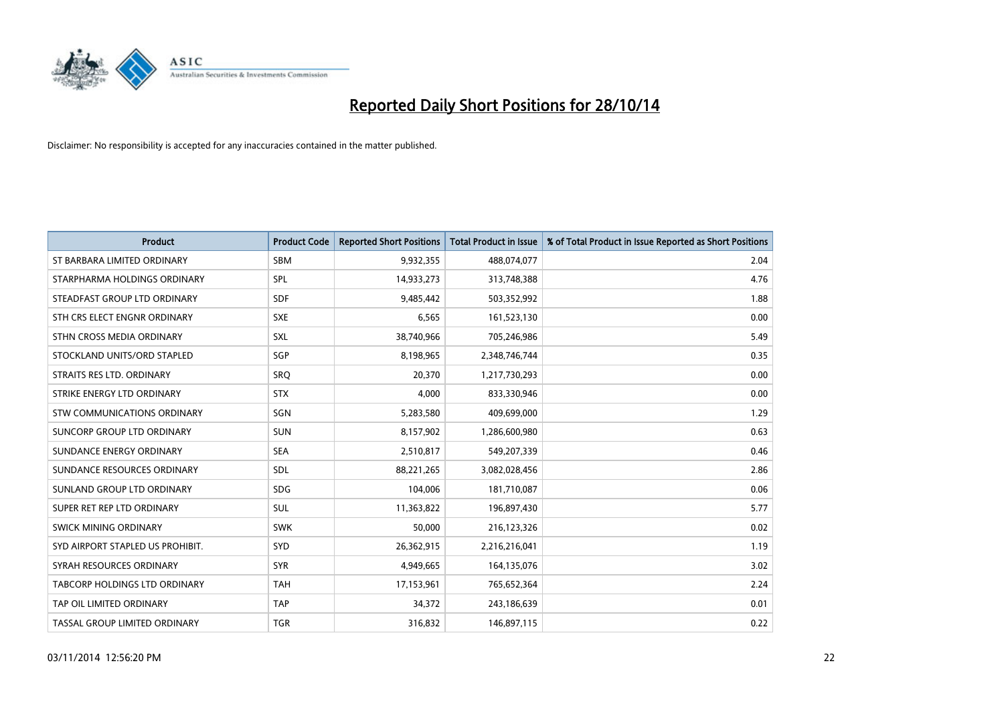

| <b>Product</b>                   | <b>Product Code</b> | <b>Reported Short Positions</b> | <b>Total Product in Issue</b> | % of Total Product in Issue Reported as Short Positions |
|----------------------------------|---------------------|---------------------------------|-------------------------------|---------------------------------------------------------|
| ST BARBARA LIMITED ORDINARY      | <b>SBM</b>          | 9,932,355                       | 488,074,077                   | 2.04                                                    |
| STARPHARMA HOLDINGS ORDINARY     | SPL                 | 14,933,273                      | 313,748,388                   | 4.76                                                    |
| STEADFAST GROUP LTD ORDINARY     | <b>SDF</b>          | 9,485,442                       | 503,352,992                   | 1.88                                                    |
| STH CRS ELECT ENGNR ORDINARY     | <b>SXE</b>          | 6,565                           | 161,523,130                   | 0.00                                                    |
| STHN CROSS MEDIA ORDINARY        | SXL                 | 38,740,966                      | 705,246,986                   | 5.49                                                    |
| STOCKLAND UNITS/ORD STAPLED      | SGP                 | 8,198,965                       | 2,348,746,744                 | 0.35                                                    |
| STRAITS RES LTD. ORDINARY        | <b>SRO</b>          | 20,370                          | 1,217,730,293                 | 0.00                                                    |
| STRIKE ENERGY LTD ORDINARY       | <b>STX</b>          | 4,000                           | 833,330,946                   | 0.00                                                    |
| STW COMMUNICATIONS ORDINARY      | SGN                 | 5,283,580                       | 409,699,000                   | 1.29                                                    |
| SUNCORP GROUP LTD ORDINARY       | <b>SUN</b>          | 8,157,902                       | 1,286,600,980                 | 0.63                                                    |
| SUNDANCE ENERGY ORDINARY         | <b>SEA</b>          | 2,510,817                       | 549,207,339                   | 0.46                                                    |
| SUNDANCE RESOURCES ORDINARY      | <b>SDL</b>          | 88,221,265                      | 3,082,028,456                 | 2.86                                                    |
| SUNLAND GROUP LTD ORDINARY       | <b>SDG</b>          | 104,006                         | 181,710,087                   | 0.06                                                    |
| SUPER RET REP LTD ORDINARY       | SUL                 | 11,363,822                      | 196,897,430                   | 5.77                                                    |
| SWICK MINING ORDINARY            | <b>SWK</b>          | 50,000                          | 216,123,326                   | 0.02                                                    |
| SYD AIRPORT STAPLED US PROHIBIT. | <b>SYD</b>          | 26,362,915                      | 2,216,216,041                 | 1.19                                                    |
| SYRAH RESOURCES ORDINARY         | <b>SYR</b>          | 4,949,665                       | 164,135,076                   | 3.02                                                    |
| TABCORP HOLDINGS LTD ORDINARY    | <b>TAH</b>          | 17,153,961                      | 765,652,364                   | 2.24                                                    |
| TAP OIL LIMITED ORDINARY         | <b>TAP</b>          | 34,372                          | 243,186,639                   | 0.01                                                    |
| TASSAL GROUP LIMITED ORDINARY    | <b>TGR</b>          | 316,832                         | 146,897,115                   | 0.22                                                    |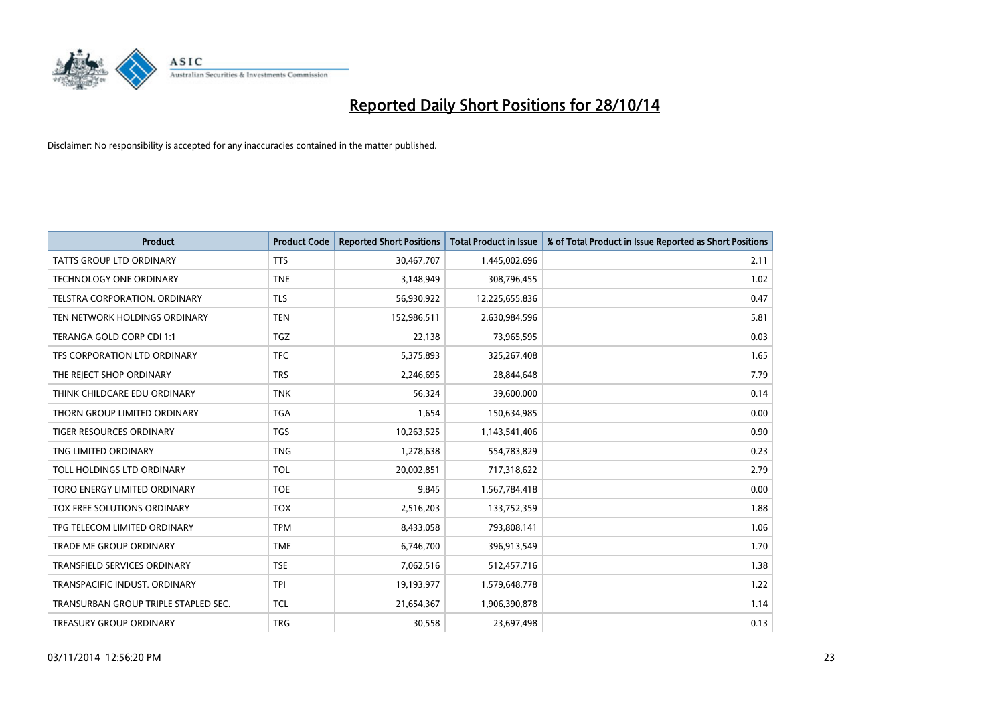

| <b>Product</b>                       | <b>Product Code</b> | <b>Reported Short Positions</b> | <b>Total Product in Issue</b> | % of Total Product in Issue Reported as Short Positions |
|--------------------------------------|---------------------|---------------------------------|-------------------------------|---------------------------------------------------------|
| <b>TATTS GROUP LTD ORDINARY</b>      | <b>TTS</b>          | 30,467,707                      | 1,445,002,696                 | 2.11                                                    |
| TECHNOLOGY ONE ORDINARY              | <b>TNE</b>          | 3,148,949                       | 308,796,455                   | 1.02                                                    |
| <b>TELSTRA CORPORATION, ORDINARY</b> | <b>TLS</b>          | 56,930,922                      | 12,225,655,836                | 0.47                                                    |
| TEN NETWORK HOLDINGS ORDINARY        | <b>TEN</b>          | 152,986,511                     | 2,630,984,596                 | 5.81                                                    |
| TERANGA GOLD CORP CDI 1:1            | <b>TGZ</b>          | 22,138                          | 73,965,595                    | 0.03                                                    |
| TFS CORPORATION LTD ORDINARY         | <b>TFC</b>          | 5,375,893                       | 325,267,408                   | 1.65                                                    |
| THE REJECT SHOP ORDINARY             | <b>TRS</b>          | 2,246,695                       | 28,844,648                    | 7.79                                                    |
| THINK CHILDCARE EDU ORDINARY         | <b>TNK</b>          | 56,324                          | 39,600,000                    | 0.14                                                    |
| THORN GROUP LIMITED ORDINARY         | <b>TGA</b>          | 1,654                           | 150,634,985                   | 0.00                                                    |
| <b>TIGER RESOURCES ORDINARY</b>      | <b>TGS</b>          | 10,263,525                      | 1,143,541,406                 | 0.90                                                    |
| TNG LIMITED ORDINARY                 | <b>TNG</b>          | 1,278,638                       | 554,783,829                   | 0.23                                                    |
| TOLL HOLDINGS LTD ORDINARY           | <b>TOL</b>          | 20,002,851                      | 717,318,622                   | 2.79                                                    |
| TORO ENERGY LIMITED ORDINARY         | <b>TOE</b>          | 9,845                           | 1,567,784,418                 | 0.00                                                    |
| TOX FREE SOLUTIONS ORDINARY          | <b>TOX</b>          | 2,516,203                       | 133,752,359                   | 1.88                                                    |
| TPG TELECOM LIMITED ORDINARY         | <b>TPM</b>          | 8,433,058                       | 793,808,141                   | 1.06                                                    |
| <b>TRADE ME GROUP ORDINARY</b>       | <b>TME</b>          | 6,746,700                       | 396,913,549                   | 1.70                                                    |
| TRANSFIELD SERVICES ORDINARY         | <b>TSE</b>          | 7,062,516                       | 512,457,716                   | 1.38                                                    |
| TRANSPACIFIC INDUST, ORDINARY        | <b>TPI</b>          | 19,193,977                      | 1,579,648,778                 | 1.22                                                    |
| TRANSURBAN GROUP TRIPLE STAPLED SEC. | <b>TCL</b>          | 21,654,367                      | 1,906,390,878                 | 1.14                                                    |
| TREASURY GROUP ORDINARY              | <b>TRG</b>          | 30,558                          | 23,697,498                    | 0.13                                                    |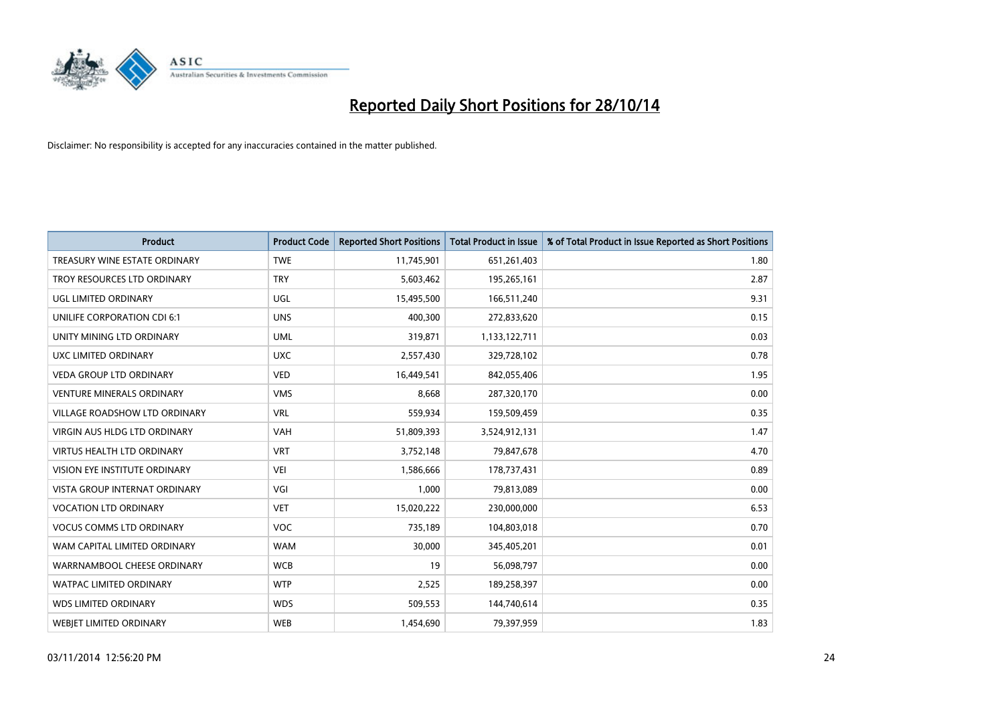

| <b>Product</b>                       | <b>Product Code</b> | <b>Reported Short Positions</b> | <b>Total Product in Issue</b> | % of Total Product in Issue Reported as Short Positions |
|--------------------------------------|---------------------|---------------------------------|-------------------------------|---------------------------------------------------------|
| TREASURY WINE ESTATE ORDINARY        | <b>TWE</b>          | 11,745,901                      | 651,261,403                   | 1.80                                                    |
| TROY RESOURCES LTD ORDINARY          | <b>TRY</b>          | 5,603,462                       | 195,265,161                   | 2.87                                                    |
| UGL LIMITED ORDINARY                 | UGL                 | 15,495,500                      | 166,511,240                   | 9.31                                                    |
| UNILIFE CORPORATION CDI 6:1          | <b>UNS</b>          | 400,300                         | 272,833,620                   | 0.15                                                    |
| UNITY MINING LTD ORDINARY            | <b>UML</b>          | 319,871                         | 1,133,122,711                 | 0.03                                                    |
| UXC LIMITED ORDINARY                 | <b>UXC</b>          | 2,557,430                       | 329,728,102                   | 0.78                                                    |
| <b>VEDA GROUP LTD ORDINARY</b>       | <b>VED</b>          | 16,449,541                      | 842,055,406                   | 1.95                                                    |
| <b>VENTURE MINERALS ORDINARY</b>     | <b>VMS</b>          | 8,668                           | 287,320,170                   | 0.00                                                    |
| VILLAGE ROADSHOW LTD ORDINARY        | <b>VRL</b>          | 559,934                         | 159,509,459                   | 0.35                                                    |
| VIRGIN AUS HLDG LTD ORDINARY         | <b>VAH</b>          | 51,809,393                      | 3,524,912,131                 | 1.47                                                    |
| <b>VIRTUS HEALTH LTD ORDINARY</b>    | <b>VRT</b>          | 3,752,148                       | 79,847,678                    | 4.70                                                    |
| <b>VISION EYE INSTITUTE ORDINARY</b> | <b>VEI</b>          | 1,586,666                       | 178,737,431                   | 0.89                                                    |
| <b>VISTA GROUP INTERNAT ORDINARY</b> | VGI                 | 1,000                           | 79,813,089                    | 0.00                                                    |
| <b>VOCATION LTD ORDINARY</b>         | <b>VET</b>          | 15,020,222                      | 230,000,000                   | 6.53                                                    |
| <b>VOCUS COMMS LTD ORDINARY</b>      | <b>VOC</b>          | 735,189                         | 104,803,018                   | 0.70                                                    |
| WAM CAPITAL LIMITED ORDINARY         | <b>WAM</b>          | 30,000                          | 345,405,201                   | 0.01                                                    |
| WARRNAMBOOL CHEESE ORDINARY          | <b>WCB</b>          | 19                              | 56,098,797                    | 0.00                                                    |
| WATPAC LIMITED ORDINARY              | <b>WTP</b>          | 2,525                           | 189,258,397                   | 0.00                                                    |
| <b>WDS LIMITED ORDINARY</b>          | <b>WDS</b>          | 509,553                         | 144,740,614                   | 0.35                                                    |
| <b>WEBJET LIMITED ORDINARY</b>       | <b>WEB</b>          | 1,454,690                       | 79,397,959                    | 1.83                                                    |